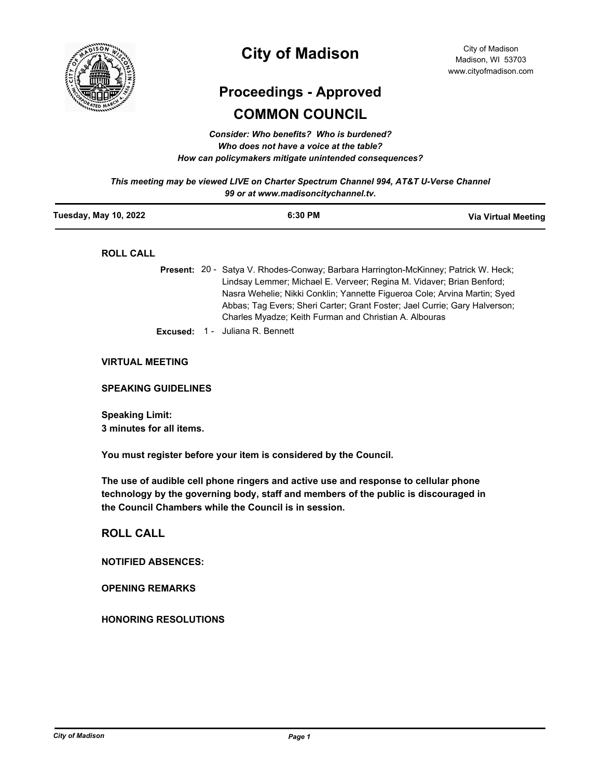

# **City of Madison**

# **Proceedings - Approved COMMON COUNCIL**

*Consider: Who benefits? Who is burdened? Who does not have a voice at the table? How can policymakers mitigate unintended consequences?*

*This meeting may be viewed LIVE on Charter Spectrum Channel 994, AT&T U-Verse Channel 99 or at www.madisoncitychannel.tv.*

| Tuesday, May 10, 2022  | 6:30 PM                                                                                                                                                                                                                                                                                                                                                                                  | Via Virtual Meeting |
|------------------------|------------------------------------------------------------------------------------------------------------------------------------------------------------------------------------------------------------------------------------------------------------------------------------------------------------------------------------------------------------------------------------------|---------------------|
| <b>ROLL CALL</b>       |                                                                                                                                                                                                                                                                                                                                                                                          |                     |
|                        | <b>Present:</b> 20 - Satya V. Rhodes-Conway; Barbara Harrington-McKinney; Patrick W. Heck;<br>Lindsay Lemmer; Michael E. Verveer; Regina M. Vidaver; Brian Benford;<br>Nasra Wehelie; Nikki Conklin; Yannette Figueroa Cole; Arvina Martin; Syed<br>Abbas; Tag Evers; Sheri Carter; Grant Foster; Jael Currie; Gary Halverson;<br>Charles Myadze; Keith Furman and Christian A. Albouras |                     |
|                        | <b>Excused: 1 - Juliana R. Bennett</b>                                                                                                                                                                                                                                                                                                                                                   |                     |
| <b>VIRTUAL MEETING</b> |                                                                                                                                                                                                                                                                                                                                                                                          |                     |

**SPEAKING GUIDELINES**

**Speaking Limit: 3 minutes for all items.**

**You must register before your item is considered by the Council.**

**The use of audible cell phone ringers and active use and response to cellular phone technology by the governing body, staff and members of the public is discouraged in the Council Chambers while the Council is in session.**

**ROLL CALL**

**NOTIFIED ABSENCES:**

**OPENING REMARKS**

**HONORING RESOLUTIONS**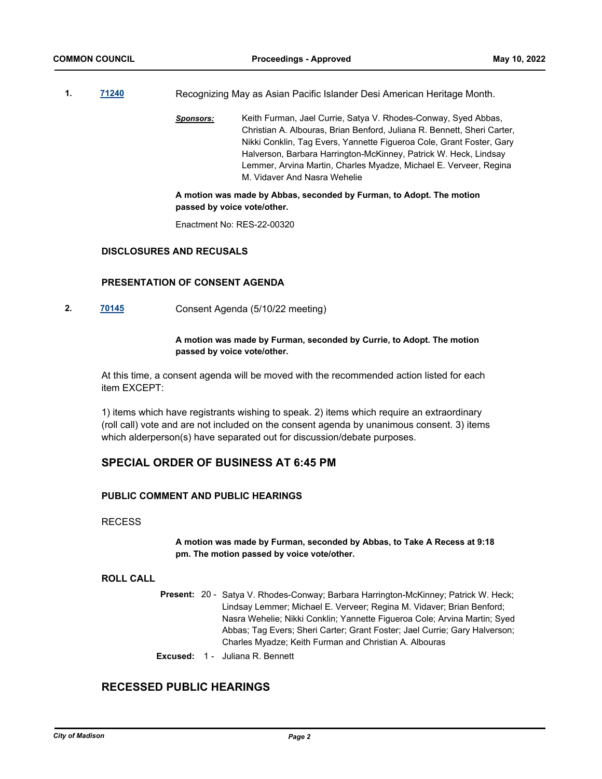- **1. [71240](http://madison.legistar.com/gateway.aspx?m=l&id=/matter.aspx?key=83181)** Recognizing May as Asian Pacific Islander Desi American Heritage Month.
	- *Sponsors:* Keith Furman, Jael Currie, Satya V. Rhodes-Conway, Syed Abbas, Christian A. Albouras, Brian Benford, Juliana R. Bennett, Sheri Carter, Nikki Conklin, Tag Evers, Yannette Figueroa Cole, Grant Foster, Gary Halverson, Barbara Harrington-McKinney, Patrick W. Heck, Lindsay Lemmer, Arvina Martin, Charles Myadze, Michael E. Verveer, Regina M. Vidaver And Nasra Wehelie

### **A motion was made by Abbas, seconded by Furman, to Adopt. The motion passed by voice vote/other.**

Enactment No: RES-22-00320

### **DISCLOSURES AND RECUSALS**

### **PRESENTATION OF CONSENT AGENDA**

**2. [70145](http://madison.legistar.com/gateway.aspx?m=l&id=/matter.aspx?key=81301)** Consent Agenda (5/10/22 meeting)

### **A motion was made by Furman, seconded by Currie, to Adopt. The motion passed by voice vote/other.**

At this time, a consent agenda will be moved with the recommended action listed for each item EXCEPT:

1) items which have registrants wishing to speak. 2) items which require an extraordinary (roll call) vote and are not included on the consent agenda by unanimous consent. 3) items which alderperson(s) have separated out for discussion/debate purposes.

# **SPECIAL ORDER OF BUSINESS AT 6:45 PM**

### **PUBLIC COMMENT AND PUBLIC HEARINGS**

### RECESS

**A motion was made by Furman, seconded by Abbas, to Take A Recess at 9:18 pm. The motion passed by voice vote/other.**

### **ROLL CALL**

- Present: 20 Satya V. Rhodes-Conway; Barbara Harrington-McKinney; Patrick W. Heck; Lindsay Lemmer; Michael E. Verveer; Regina M. Vidaver; Brian Benford; Nasra Wehelie; Nikki Conklin; Yannette Figueroa Cole; Arvina Martin; Syed Abbas; Tag Evers; Sheri Carter; Grant Foster; Jael Currie; Gary Halverson; Charles Myadze; Keith Furman and Christian A. Albouras
- **Excused:** 1 Juliana R. Bennett

# **RECESSED PUBLIC HEARINGS**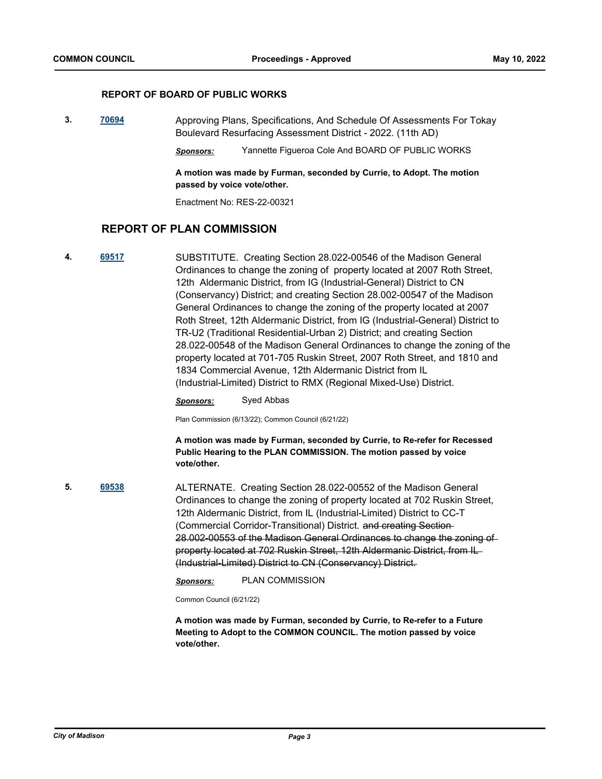### **REPORT OF BOARD OF PUBLIC WORKS**

**3. [70694](http://madison.legistar.com/gateway.aspx?m=l&id=/matter.aspx?key=82717)** Approving Plans, Specifications, And Schedule Of Assessments For Tokay Boulevard Resurfacing Assessment District - 2022. (11th AD)

*Sponsors:* Yannette Figueroa Cole And BOARD OF PUBLIC WORKS

**A motion was made by Furman, seconded by Currie, to Adopt. The motion passed by voice vote/other.**

Enactment No: RES-22-00321

# **REPORT OF PLAN COMMISSION**

**4. [69517](http://madison.legistar.com/gateway.aspx?m=l&id=/matter.aspx?key=80896)** SUBSTITUTE. Creating Section 28.022-00546 of the Madison General Ordinances to change the zoning of property located at 2007 Roth Street, 12th Aldermanic District, from IG (Industrial-General) District to CN (Conservancy) District; and creating Section 28.002-00547 of the Madison General Ordinances to change the zoning of the property located at 2007 Roth Street, 12th Aldermanic District, from IG (Industrial-General) District to TR-U2 (Traditional Residential-Urban 2) District; and creating Section 28.022-00548 of the Madison General Ordinances to change the zoning of the property located at 701-705 Ruskin Street, 2007 Roth Street, and 1810 and 1834 Commercial Avenue, 12th Aldermanic District from IL (Industrial-Limited) District to RMX (Regional Mixed-Use) District.

*Sponsors:* Syed Abbas

Plan Commission (6/13/22); Common Council (6/21/22)

**A motion was made by Furman, seconded by Currie, to Re-refer for Recessed Public Hearing to the PLAN COMMISSION. The motion passed by voice vote/other.**

**5. [69538](http://madison.legistar.com/gateway.aspx?m=l&id=/matter.aspx?key=80912)** ALTERNATE. Creating Section 28.022-00552 of the Madison General Ordinances to change the zoning of property located at 702 Ruskin Street, 12th Aldermanic District, from IL (Industrial-Limited) District to CC-T (Commercial Corridor-Transitional) District. and creating Section 28.002-00553 of the Madison General Ordinances to change the zoning of property located at 702 Ruskin Street, 12th Aldermanic District, from IL (Industrial-Limited) District to CN (Conservancy) District.

*Sponsors:* PLAN COMMISSION

Common Council (6/21/22)

**A motion was made by Furman, seconded by Currie, to Re-refer to a Future Meeting to Adopt to the COMMON COUNCIL. The motion passed by voice vote/other.**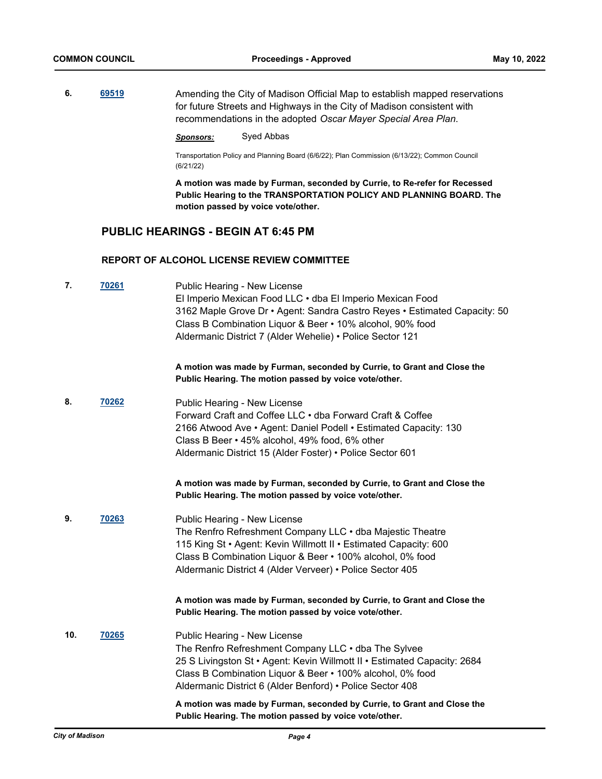**6.** [69519](http://madison.legistar.com/gateway.aspx?m=l&id=/matter.aspx?key=80898) **Amending the City of Madison Official Map to establish mapped reservations** for future Streets and Highways in the City of Madison consistent with recommendations in the adopted *Oscar Mayer Special Area Plan*.

### *Sponsors:* Syed Abbas

Transportation Policy and Planning Board (6/6/22); Plan Commission (6/13/22); Common Council (6/21/22)

**A motion was made by Furman, seconded by Currie, to Re-refer for Recessed Public Hearing to the TRANSPORTATION POLICY AND PLANNING BOARD. The motion passed by voice vote/other.**

# **PUBLIC HEARINGS - BEGIN AT 6:45 PM**

### **REPORT OF ALCOHOL LICENSE REVIEW COMMITTEE**

| 7.  | 70261 | Public Hearing - New License<br>El Imperio Mexican Food LLC · dba El Imperio Mexican Food<br>3162 Maple Grove Dr • Agent: Sandra Castro Reyes • Estimated Capacity: 50<br>Class B Combination Liquor & Beer • 10% alcohol, 90% food<br>Aldermanic District 7 (Alder Wehelie) • Police Sector 121 |
|-----|-------|--------------------------------------------------------------------------------------------------------------------------------------------------------------------------------------------------------------------------------------------------------------------------------------------------|
|     |       | A motion was made by Furman, seconded by Currie, to Grant and Close the<br>Public Hearing. The motion passed by voice vote/other.                                                                                                                                                                |
| 8.  | 70262 | Public Hearing - New License<br>Forward Craft and Coffee LLC • dba Forward Craft & Coffee<br>2166 Atwood Ave • Agent: Daniel Podell • Estimated Capacity: 130<br>Class B Beer • 45% alcohol, 49% food, 6% other<br>Aldermanic District 15 (Alder Foster) • Police Sector 601                     |
|     |       | A motion was made by Furman, seconded by Currie, to Grant and Close the<br>Public Hearing. The motion passed by voice vote/other.                                                                                                                                                                |
| 9.  | 70263 | Public Hearing - New License<br>The Renfro Refreshment Company LLC . dba Majestic Theatre<br>115 King St · Agent: Kevin Willmott II · Estimated Capacity: 600<br>Class B Combination Liquor & Beer • 100% alcohol, 0% food<br>Aldermanic District 4 (Alder Verveer) • Police Sector 405          |
|     |       | A motion was made by Furman, seconded by Currie, to Grant and Close the<br>Public Hearing. The motion passed by voice vote/other.                                                                                                                                                                |
| 10. | 70265 | Public Hearing - New License<br>The Renfro Refreshment Company LLC . dba The Sylvee<br>25 S Livingston St • Agent: Kevin Willmott II • Estimated Capacity: 2684<br>Class B Combination Liquor & Beer • 100% alcohol, 0% food<br>Aldermanic District 6 (Alder Benford) • Police Sector 408        |
|     |       | A motion was made by Furman, seconded by Currie, to Grant and Close the<br>Public Hearing. The motion passed by voice vote/other.                                                                                                                                                                |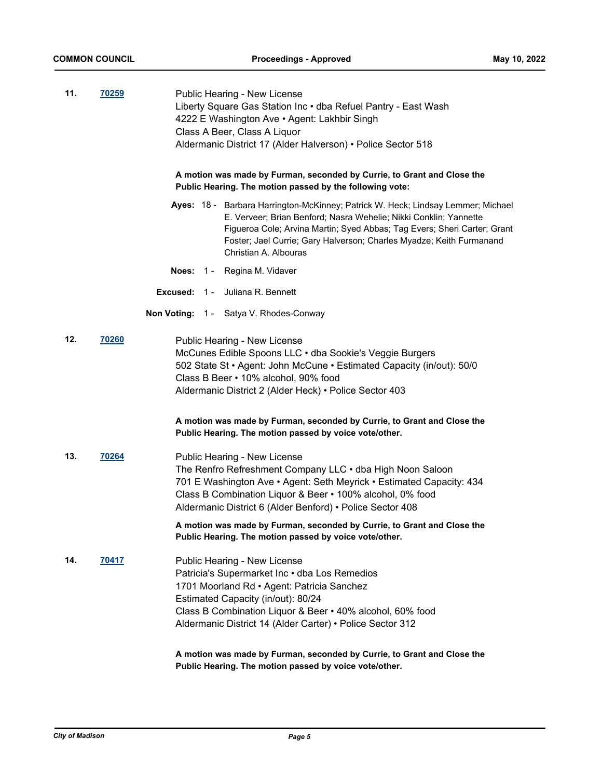| 11. | 70259        | Public Hearing - New License<br>Liberty Square Gas Station Inc . dba Refuel Pantry - East Wash<br>4222 E Washington Ave · Agent: Lakhbir Singh<br>Class A Beer, Class A Liquor<br>Aldermanic District 17 (Alder Halverson) • Police Sector 518<br>A motion was made by Furman, seconded by Currie, to Grant and Close the<br>Public Hearing. The motion passed by the following vote: |  |
|-----|--------------|---------------------------------------------------------------------------------------------------------------------------------------------------------------------------------------------------------------------------------------------------------------------------------------------------------------------------------------------------------------------------------------|--|
|     |              | Ayes: 18 - Barbara Harrington-McKinney; Patrick W. Heck; Lindsay Lemmer; Michael<br>E. Verveer; Brian Benford; Nasra Wehelie; Nikki Conklin; Yannette<br>Figueroa Cole; Arvina Martin; Syed Abbas; Tag Evers; Sheri Carter; Grant<br>Foster; Jael Currie; Gary Halverson; Charles Myadze; Keith Furmanand<br>Christian A. Albouras                                                    |  |
|     |              | <b>Noes: 1 - Regina M. Vidaver</b>                                                                                                                                                                                                                                                                                                                                                    |  |
|     |              | <b>Excused: 1 - Juliana R. Bennett</b>                                                                                                                                                                                                                                                                                                                                                |  |
|     |              | Non Voting: 1 - Satya V. Rhodes-Conway                                                                                                                                                                                                                                                                                                                                                |  |
| 12. | 70260        | Public Hearing - New License<br>McCunes Edible Spoons LLC · dba Sookie's Veggie Burgers<br>502 State St • Agent: John McCune • Estimated Capacity (in/out): 50/0<br>Class B Beer • 10% alcohol, 90% food<br>Aldermanic District 2 (Alder Heck) • Police Sector 403                                                                                                                    |  |
|     |              | A motion was made by Furman, seconded by Currie, to Grant and Close the<br>Public Hearing. The motion passed by voice vote/other.                                                                                                                                                                                                                                                     |  |
| 13. | 70264        | Public Hearing - New License<br>The Renfro Refreshment Company LLC . dba High Noon Saloon<br>701 E Washington Ave • Agent: Seth Meyrick • Estimated Capacity: 434<br>Class B Combination Liquor & Beer • 100% alcohol, 0% food<br>Aldermanic District 6 (Alder Benford) • Police Sector 408                                                                                           |  |
|     |              | A motion was made by Furman, seconded by Currie, to Grant and Close the<br>Public Hearing. The motion passed by voice vote/other.                                                                                                                                                                                                                                                     |  |
| 14. | <u>70417</u> | Public Hearing - New License<br>Patricia's Supermarket Inc . dba Los Remedios<br>1701 Moorland Rd · Agent: Patricia Sanchez<br>Estimated Capacity (in/out): 80/24<br>Class B Combination Liquor & Beer • 40% alcohol, 60% food<br>Aldermanic District 14 (Alder Carter) • Police Sector 312                                                                                           |  |
|     |              | A motion was made by Furman, seconded by Currie, to Grant and Close the<br>Public Hearing. The motion passed by voice vote/other.                                                                                                                                                                                                                                                     |  |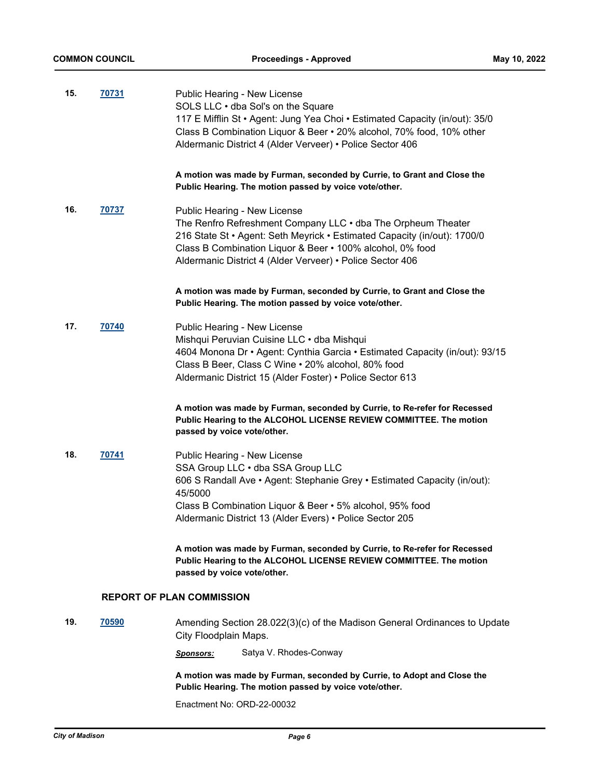| 15. | 70731        | Public Hearing - New License<br>SOLS LLC . dba Sol's on the Square<br>117 E Mifflin St • Agent: Jung Yea Choi • Estimated Capacity (in/out): 35/0<br>Class B Combination Liquor & Beer • 20% alcohol, 70% food, 10% other<br>Aldermanic District 4 (Alder Verveer) • Police Sector 406<br>A motion was made by Furman, seconded by Currie, to Grant and Close the |
|-----|--------------|-------------------------------------------------------------------------------------------------------------------------------------------------------------------------------------------------------------------------------------------------------------------------------------------------------------------------------------------------------------------|
|     |              | Public Hearing. The motion passed by voice vote/other.                                                                                                                                                                                                                                                                                                            |
| 16. | 70737        | Public Hearing - New License<br>The Renfro Refreshment Company LLC . dba The Orpheum Theater<br>216 State St • Agent: Seth Meyrick • Estimated Capacity (in/out): 1700/0<br>Class B Combination Liquor & Beer • 100% alcohol, 0% food<br>Aldermanic District 4 (Alder Verveer) • Police Sector 406                                                                |
|     |              | A motion was made by Furman, seconded by Currie, to Grant and Close the<br>Public Hearing. The motion passed by voice vote/other.                                                                                                                                                                                                                                 |
| 17. | 70740        | Public Hearing - New License<br>Mishqui Peruvian Cuisine LLC · dba Mishqui<br>4604 Monona Dr • Agent: Cynthia Garcia • Estimated Capacity (in/out): 93/15<br>Class B Beer, Class C Wine . 20% alcohol, 80% food<br>Aldermanic District 15 (Alder Foster) • Police Sector 613                                                                                      |
|     |              | A motion was made by Furman, seconded by Currie, to Re-refer for Recessed<br>Public Hearing to the ALCOHOL LICENSE REVIEW COMMITTEE. The motion<br>passed by voice vote/other.                                                                                                                                                                                    |
| 18. | 70741        | Public Hearing - New License                                                                                                                                                                                                                                                                                                                                      |
|     |              | SSA Group LLC . dba SSA Group LLC<br>606 S Randall Ave • Agent: Stephanie Grey • Estimated Capacity (in/out):                                                                                                                                                                                                                                                     |
|     |              | 45/5000<br>Class B Combination Liquor & Beer • 5% alcohol, 95% food<br>Aldermanic District 13 (Alder Evers) • Police Sector 205                                                                                                                                                                                                                                   |
|     |              | A motion was made by Furman, seconded by Currie, to Re-refer for Recessed<br>Public Hearing to the ALCOHOL LICENSE REVIEW COMMITTEE. The motion<br>passed by voice vote/other.                                                                                                                                                                                    |
|     |              | <b>REPORT OF PLAN COMMISSION</b>                                                                                                                                                                                                                                                                                                                                  |
| 19. | <b>70590</b> | Amending Section 28.022(3)(c) of the Madison General Ordinances to Update<br>City Floodplain Maps.                                                                                                                                                                                                                                                                |
|     |              | Satya V. Rhodes-Conway<br><b>Sponsors:</b>                                                                                                                                                                                                                                                                                                                        |
|     |              | A motion was made by Furman, seconded by Currie, to Adopt and Close the<br>Public Hearing. The motion passed by voice vote/other.                                                                                                                                                                                                                                 |

Enactment No: ORD-22-00032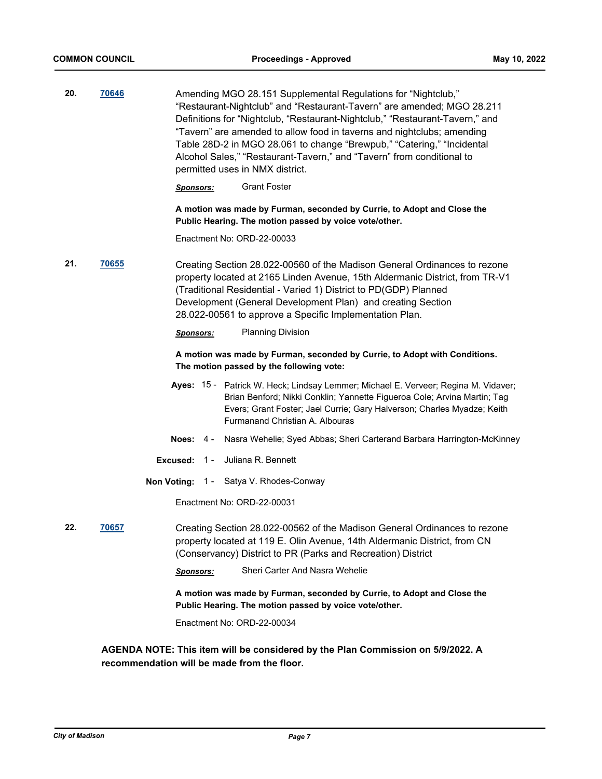| 20. | 70646 | Amending MGO 28.151 Supplemental Regulations for "Nightclub,"<br>"Restaurant-Nightclub" and "Restaurant-Tavern" are amended; MGO 28.211<br>Definitions for "Nightclub, "Restaurant-Nightclub," "Restaurant-Tavern," and<br>"Tavern" are amended to allow food in taverns and nightclubs; amending<br>Table 28D-2 in MGO 28.061 to change "Brewpub," "Catering," "Incidental<br>Alcohol Sales," "Restaurant-Tavern," and "Tavern" from conditional to<br>permitted uses in NMX district. |
|-----|-------|-----------------------------------------------------------------------------------------------------------------------------------------------------------------------------------------------------------------------------------------------------------------------------------------------------------------------------------------------------------------------------------------------------------------------------------------------------------------------------------------|
|     |       | <b>Grant Foster</b><br><b>Sponsors:</b>                                                                                                                                                                                                                                                                                                                                                                                                                                                 |
|     |       | A motion was made by Furman, seconded by Currie, to Adopt and Close the<br>Public Hearing. The motion passed by voice vote/other.                                                                                                                                                                                                                                                                                                                                                       |
|     |       | Enactment No: ORD-22-00033                                                                                                                                                                                                                                                                                                                                                                                                                                                              |
| 21. | 70655 | Creating Section 28.022-00560 of the Madison General Ordinances to rezone<br>property located at 2165 Linden Avenue, 15th Aldermanic District, from TR-V1<br>(Traditional Residential - Varied 1) District to PD(GDP) Planned<br>Development (General Development Plan) and creating Section<br>28.022-00561 to approve a Specific Implementation Plan.                                                                                                                                 |
|     |       | <b>Planning Division</b><br><b>Sponsors:</b>                                                                                                                                                                                                                                                                                                                                                                                                                                            |
|     |       | A motion was made by Furman, seconded by Currie, to Adopt with Conditions.<br>The motion passed by the following vote:                                                                                                                                                                                                                                                                                                                                                                  |
|     |       | Ayes: 15 - Patrick W. Heck; Lindsay Lemmer; Michael E. Verveer; Regina M. Vidaver;<br>Brian Benford; Nikki Conklin; Yannette Figueroa Cole; Arvina Martin; Tag<br>Evers; Grant Foster; Jael Currie; Gary Halverson; Charles Myadze; Keith<br>Furmanand Christian A. Albouras                                                                                                                                                                                                            |
|     |       | Nasra Wehelie; Syed Abbas; Sheri Carterand Barbara Harrington-McKinney<br>Noes: $4 -$                                                                                                                                                                                                                                                                                                                                                                                                   |
|     |       | Juliana R. Bennett<br>Excused: $1 -$                                                                                                                                                                                                                                                                                                                                                                                                                                                    |
|     |       | Satya V. Rhodes-Conway<br>Non Voting: 1 -                                                                                                                                                                                                                                                                                                                                                                                                                                               |
|     |       | Enactment No: ORD-22-00031                                                                                                                                                                                                                                                                                                                                                                                                                                                              |
| 22. | 70657 | Creating Section 28.022-00562 of the Madison General Ordinances to rezone<br>property located at 119 E. Olin Avenue, 14th Aldermanic District, from CN<br>(Conservancy) District to PR (Parks and Recreation) District                                                                                                                                                                                                                                                                  |
|     |       | Sheri Carter And Nasra Wehelie<br><b>Sponsors:</b>                                                                                                                                                                                                                                                                                                                                                                                                                                      |
|     |       | A motion was made by Furman, seconded by Currie, to Adopt and Close the<br>Public Hearing. The motion passed by voice vote/other.                                                                                                                                                                                                                                                                                                                                                       |
|     |       | Enactment No: ORD-22-00034                                                                                                                                                                                                                                                                                                                                                                                                                                                              |
|     |       |                                                                                                                                                                                                                                                                                                                                                                                                                                                                                         |

**AGENDA NOTE: This item will be considered by the Plan Commission on 5/9/2022. A recommendation will be made from the floor.**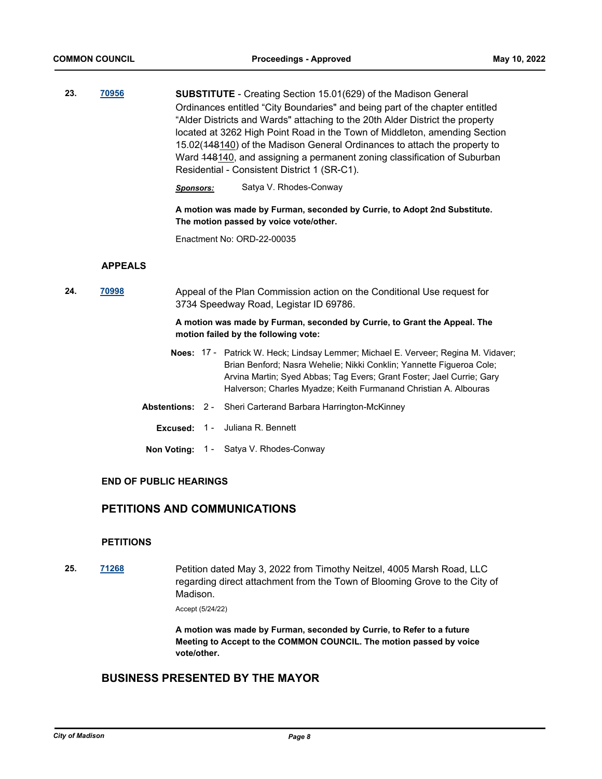**23. [70956](http://madison.legistar.com/gateway.aspx?m=l&id=/matter.aspx?key=82939) SUBSTITUTE** - Creating Section 15.01(629) of the Madison General Ordinances entitled "City Boundaries" and being part of the chapter entitled "Alder Districts and Wards" attaching to the 20th Alder District the property located at 3262 High Point Road in the Town of Middleton, amending Section 15.02(148140) of the Madison General Ordinances to attach the property to Ward 148140, and assigning a permanent zoning classification of Suburban Residential - Consistent District 1 (SR-C1).

*Sponsors:* Satya V. Rhodes-Conway

**A motion was made by Furman, seconded by Currie, to Adopt 2nd Substitute. The motion passed by voice vote/other.**

Enactment No: ORD-22-00035

### **APPEALS**

**24. [70998](http://madison.legistar.com/gateway.aspx?m=l&id=/matter.aspx?key=82970)** Appeal of the Plan Commission action on the Conditional Use request for 3734 Speedway Road, Legistar ID 69786.

### **A motion was made by Furman, seconded by Currie, to Grant the Appeal. The motion failed by the following vote:**

- Noes: 17 Patrick W. Heck; Lindsay Lemmer; Michael E. Verveer; Regina M. Vidaver; Brian Benford; Nasra Wehelie; Nikki Conklin; Yannette Figueroa Cole; Arvina Martin; Syed Abbas; Tag Evers; Grant Foster; Jael Currie; Gary Halverson; Charles Myadze; Keith Furmanand Christian A. Albouras
- **Abstentions:** 2 Sheri Carterand Barbara Harrington-McKinney
	- **Excused:** 1 Juliana R. Bennett
- **Non Voting:** 1 Satya V. Rhodes-Conway

### **END OF PUBLIC HEARINGS**

# **PETITIONS AND COMMUNICATIONS**

### **PETITIONS**

**25. [71268](http://madison.legistar.com/gateway.aspx?m=l&id=/matter.aspx?key=83209)** Petition dated May 3, 2022 from Timothy Neitzel, 4005 Marsh Road, LLC regarding direct attachment from the Town of Blooming Grove to the City of Madison.

Accept (5/24/22)

**A motion was made by Furman, seconded by Currie, to Refer to a future Meeting to Accept to the COMMON COUNCIL. The motion passed by voice vote/other.**

# **BUSINESS PRESENTED BY THE MAYOR**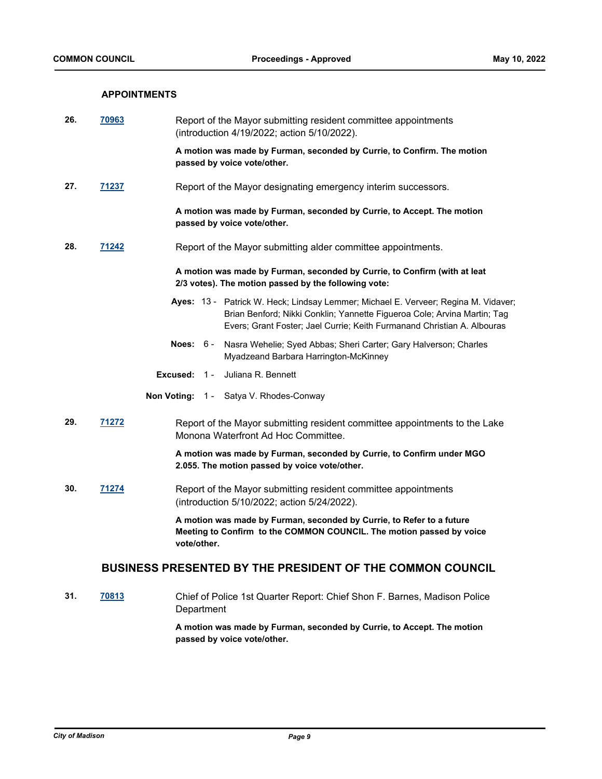### **APPOINTMENTS**

| 26. | <u>70963</u> | Report of the Mayor submitting resident committee appointments<br>(introduction 4/19/2022; action 5/10/2022).                                                                                                                             |
|-----|--------------|-------------------------------------------------------------------------------------------------------------------------------------------------------------------------------------------------------------------------------------------|
|     |              | A motion was made by Furman, seconded by Currie, to Confirm. The motion<br>passed by voice vote/other.                                                                                                                                    |
| 27. | <u>71237</u> | Report of the Mayor designating emergency interim successors.                                                                                                                                                                             |
|     |              | A motion was made by Furman, seconded by Currie, to Accept. The motion<br>passed by voice vote/other.                                                                                                                                     |
| 28. | <u>71242</u> | Report of the Mayor submitting alder committee appointments.                                                                                                                                                                              |
|     |              | A motion was made by Furman, seconded by Currie, to Confirm (with at leat<br>2/3 votes). The motion passed by the following vote:                                                                                                         |
|     |              | Ayes: 13 - Patrick W. Heck; Lindsay Lemmer; Michael E. Verveer; Regina M. Vidaver;<br>Brian Benford; Nikki Conklin; Yannette Figueroa Cole; Arvina Martin; Tag<br>Evers; Grant Foster; Jael Currie; Keith Furmanand Christian A. Albouras |
|     |              | Noes: $6-$<br>Nasra Wehelie; Syed Abbas; Sheri Carter; Gary Halverson; Charles<br>Myadzeand Barbara Harrington-McKinney                                                                                                                   |
|     |              | Juliana R. Bennett<br>Excused:<br>$1 -$                                                                                                                                                                                                   |
|     |              | Non Voting: 1 - Satya V. Rhodes-Conway                                                                                                                                                                                                    |
| 29. | 71272        | Report of the Mayor submitting resident committee appointments to the Lake<br>Monona Waterfront Ad Hoc Committee.                                                                                                                         |
|     |              | A motion was made by Furman, seconded by Currie, to Confirm under MGO<br>2.055. The motion passed by voice vote/other.                                                                                                                    |
| 30. | 71274        | Report of the Mayor submitting resident committee appointments<br>(introduction 5/10/2022; action 5/24/2022).                                                                                                                             |
|     |              | A motion was made by Furman, seconded by Currie, to Refer to a future<br>Meeting to Confirm to the COMMON COUNCIL. The motion passed by voice<br>vote/other.                                                                              |
|     |              | <b>BUSINESS PRESENTED BY THE PRESIDENT OF THE COMMON COUNCIL</b>                                                                                                                                                                          |
| 31. | 70813        | Chief of Police 1st Quarter Report: Chief Shon F. Barnes, Madison Police                                                                                                                                                                  |

**A motion was made by Furman, seconded by Currie, to Accept. The motion passed by voice vote/other.**

**Department**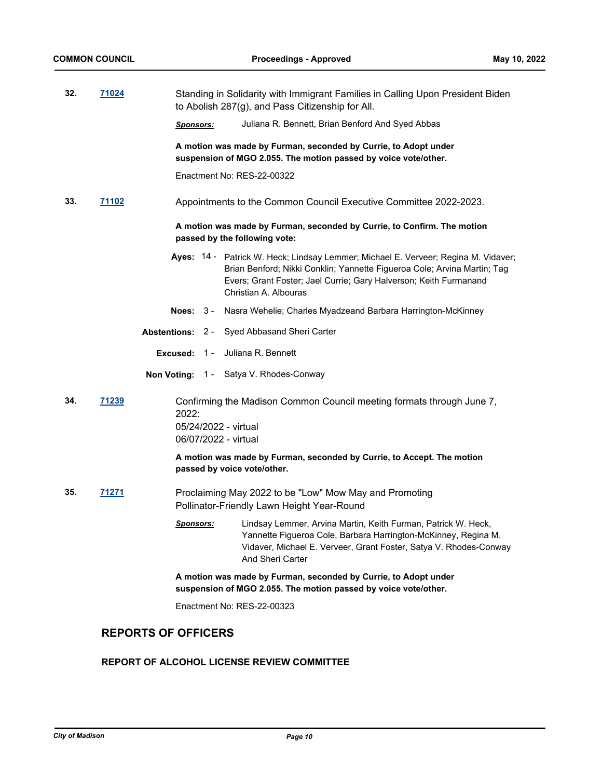| 32. | 71024        | Standing in Solidarity with Immigrant Families in Calling Upon President Biden<br>to Abolish 287(g), and Pass Citizenship for All.                                                                                                                           |
|-----|--------------|--------------------------------------------------------------------------------------------------------------------------------------------------------------------------------------------------------------------------------------------------------------|
|     |              | Juliana R. Bennett, Brian Benford And Syed Abbas<br>Sponsors:                                                                                                                                                                                                |
|     |              | A motion was made by Furman, seconded by Currie, to Adopt under<br>suspension of MGO 2.055. The motion passed by voice vote/other.                                                                                                                           |
|     |              | Enactment No: RES-22-00322                                                                                                                                                                                                                                   |
| 33. | <u>71102</u> | Appointments to the Common Council Executive Committee 2022-2023.                                                                                                                                                                                            |
|     |              | A motion was made by Furman, seconded by Currie, to Confirm. The motion<br>passed by the following vote:                                                                                                                                                     |
|     |              | Ayes: 14 - Patrick W. Heck; Lindsay Lemmer; Michael E. Verveer; Regina M. Vidaver;<br>Brian Benford; Nikki Conklin; Yannette Figueroa Cole; Arvina Martin; Tag<br>Evers; Grant Foster; Jael Currie; Gary Halverson; Keith Furmanand<br>Christian A. Albouras |
|     |              | Nasra Wehelie; Charles Myadzeand Barbara Harrington-McKinney<br>Noes: $3 -$                                                                                                                                                                                  |
|     |              | Syed Abbasand Sheri Carter<br>Abstentions: 2 -                                                                                                                                                                                                               |
|     |              | Juliana R. Bennett<br>$1 -$<br>Excused:                                                                                                                                                                                                                      |
|     |              | <b>Non Voting: 1 - Satya V. Rhodes-Conway</b>                                                                                                                                                                                                                |
| 34. | 71239        | Confirming the Madison Common Council meeting formats through June 7,<br>2022:<br>05/24/2022 - virtual<br>06/07/2022 - virtual                                                                                                                               |
|     |              | A motion was made by Furman, seconded by Currie, to Accept. The motion<br>passed by voice vote/other.                                                                                                                                                        |
| 35. | <u>71271</u> | Proclaiming May 2022 to be "Low" Mow May and Promoting<br>Pollinator-Friendly Lawn Height Year-Round                                                                                                                                                         |
|     |              | Lindsay Lemmer, Arvina Martin, Keith Furman, Patrick W. Heck,<br><u>Sponsors:</u><br>Yannette Figueroa Cole, Barbara Harrington-McKinney, Regina M.<br>Vidaver, Michael E. Verveer, Grant Foster, Satya V. Rhodes-Conway<br>And Sheri Carter                 |
|     |              | A motion was made by Furman, seconded by Currie, to Adopt under<br>suspension of MGO 2.055. The motion passed by voice vote/other.                                                                                                                           |
|     |              | Enactment No: RES-22-00323                                                                                                                                                                                                                                   |

# **REPORTS OF OFFICERS**

# **REPORT OF ALCOHOL LICENSE REVIEW COMMITTEE**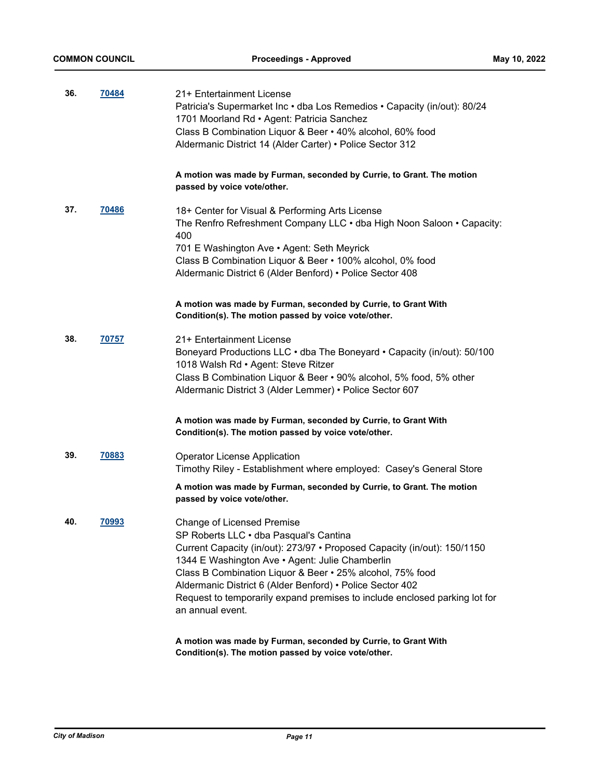| 36. | 70484 | 21+ Entertainment License<br>Patricia's Supermarket Inc · dba Los Remedios · Capacity (in/out): 80/24<br>1701 Moorland Rd • Agent: Patricia Sanchez<br>Class B Combination Liquor & Beer • 40% alcohol, 60% food<br>Aldermanic District 14 (Alder Carter) • Police Sector 312                                                                                                                                                                                                                            |
|-----|-------|----------------------------------------------------------------------------------------------------------------------------------------------------------------------------------------------------------------------------------------------------------------------------------------------------------------------------------------------------------------------------------------------------------------------------------------------------------------------------------------------------------|
|     |       | A motion was made by Furman, seconded by Currie, to Grant. The motion<br>passed by voice vote/other.                                                                                                                                                                                                                                                                                                                                                                                                     |
| 37. | 70486 | 18+ Center for Visual & Performing Arts License<br>The Renfro Refreshment Company LLC . dba High Noon Saloon . Capacity:<br>400<br>701 E Washington Ave • Agent: Seth Meyrick<br>Class B Combination Liquor & Beer • 100% alcohol, 0% food<br>Aldermanic District 6 (Alder Benford) • Police Sector 408                                                                                                                                                                                                  |
|     |       | A motion was made by Furman, seconded by Currie, to Grant With<br>Condition(s). The motion passed by voice vote/other.                                                                                                                                                                                                                                                                                                                                                                                   |
| 38. | 70757 | 21+ Entertainment License<br>Boneyard Productions LLC • dba The Boneyard • Capacity (in/out): 50/100<br>1018 Walsh Rd · Agent: Steve Ritzer<br>Class B Combination Liquor & Beer • 90% alcohol, 5% food, 5% other<br>Aldermanic District 3 (Alder Lemmer) • Police Sector 607                                                                                                                                                                                                                            |
|     |       | A motion was made by Furman, seconded by Currie, to Grant With<br>Condition(s). The motion passed by voice vote/other.                                                                                                                                                                                                                                                                                                                                                                                   |
| 39. | 70883 | <b>Operator License Application</b><br>Timothy Riley - Establishment where employed: Casey's General Store                                                                                                                                                                                                                                                                                                                                                                                               |
|     |       | A motion was made by Furman, seconded by Currie, to Grant. The motion<br>passed by voice vote/other.                                                                                                                                                                                                                                                                                                                                                                                                     |
| 40. | 70993 | <b>Change of Licensed Premise</b><br>SP Roberts LLC · dba Pasqual's Cantina<br>Current Capacity (in/out): 273/97 · Proposed Capacity (in/out): 150/1150<br>1344 E Washington Ave · Agent: Julie Chamberlin<br>Class B Combination Liquor & Beer . 25% alcohol, 75% food<br>Aldermanic District 6 (Alder Benford) • Police Sector 402<br>Request to temporarily expand premises to include enclosed parking lot for<br>an annual event.<br>A motion was made by Furman, seconded by Currie, to Grant With |
|     |       |                                                                                                                                                                                                                                                                                                                                                                                                                                                                                                          |

**Condition(s). The motion passed by voice vote/other.**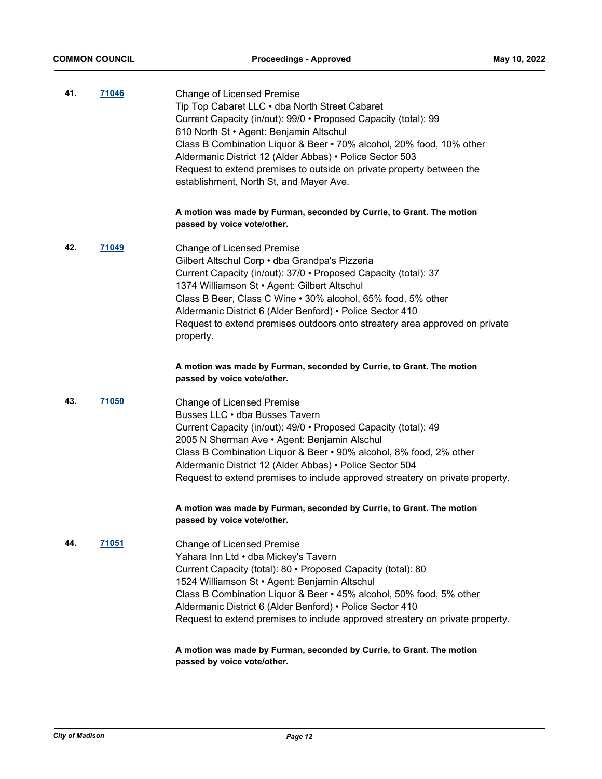| 41. | 71046        | Change of Licensed Premise<br>Tip Top Cabaret LLC . dba North Street Cabaret<br>Current Capacity (in/out): 99/0 • Proposed Capacity (total): 99<br>610 North St · Agent: Benjamin Altschul<br>Class B Combination Liquor & Beer • 70% alcohol, 20% food, 10% other<br>Aldermanic District 12 (Alder Abbas) • Police Sector 503<br>Request to extend premises to outside on private property between the<br>establishment, North St, and Mayer Ave. |
|-----|--------------|----------------------------------------------------------------------------------------------------------------------------------------------------------------------------------------------------------------------------------------------------------------------------------------------------------------------------------------------------------------------------------------------------------------------------------------------------|
|     |              | A motion was made by Furman, seconded by Currie, to Grant. The motion<br>passed by voice vote/other.                                                                                                                                                                                                                                                                                                                                               |
| 42. | 71049        | Change of Licensed Premise<br>Gilbert Altschul Corp · dba Grandpa's Pizzeria<br>Current Capacity (in/out): 37/0 • Proposed Capacity (total): 37<br>1374 Williamson St · Agent: Gilbert Altschul<br>Class B Beer, Class C Wine . 30% alcohol, 65% food, 5% other<br>Aldermanic District 6 (Alder Benford) • Police Sector 410<br>Request to extend premises outdoors onto streatery area approved on private<br>property.                           |
|     |              | A motion was made by Furman, seconded by Currie, to Grant. The motion<br>passed by voice vote/other.                                                                                                                                                                                                                                                                                                                                               |
| 43. | <u>71050</u> | Change of Licensed Premise<br>Busses LLC · dba Busses Tavern<br>Current Capacity (in/out): 49/0 · Proposed Capacity (total): 49<br>2005 N Sherman Ave • Agent: Benjamin Alschul<br>Class B Combination Liquor & Beer • 90% alcohol, 8% food, 2% other<br>Aldermanic District 12 (Alder Abbas) • Police Sector 504<br>Request to extend premises to include approved streatery on private property.                                                 |
|     |              | A motion was made by Furman, seconded by Currie, to Grant. The motion<br>passed by voice vote/other.                                                                                                                                                                                                                                                                                                                                               |
| 44. | <u>71051</u> | Change of Licensed Premise<br>Yahara Inn Ltd · dba Mickey's Tavern<br>Current Capacity (total): 80 · Proposed Capacity (total): 80<br>1524 Williamson St · Agent: Benjamin Altschul<br>Class B Combination Liquor & Beer • 45% alcohol, 50% food, 5% other<br>Aldermanic District 6 (Alder Benford) • Police Sector 410<br>Request to extend premises to include approved streatery on private property.                                           |
|     |              | A motion was made by Furman, seconded by Currie, to Grant. The motion                                                                                                                                                                                                                                                                                                                                                                              |

**passed by voice vote/other.**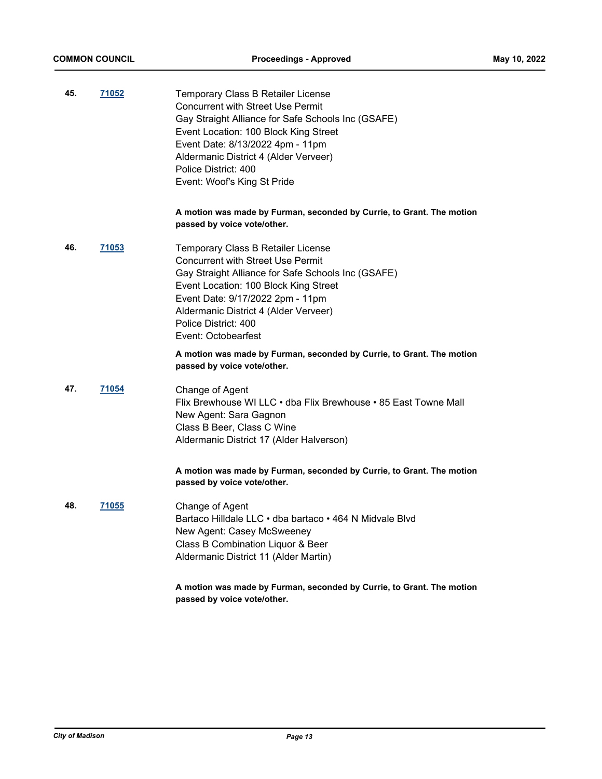| 45. | <u>71052</u> | Temporary Class B Retailer License<br><b>Concurrent with Street Use Permit</b><br>Gay Straight Alliance for Safe Schools Inc (GSAFE)<br>Event Location: 100 Block King Street<br>Event Date: 8/13/2022 4pm - 11pm<br>Aldermanic District 4 (Alder Verveer)<br>Police District: 400<br>Event: Woof's King St Pride |
|-----|--------------|-------------------------------------------------------------------------------------------------------------------------------------------------------------------------------------------------------------------------------------------------------------------------------------------------------------------|
|     |              | A motion was made by Furman, seconded by Currie, to Grant. The motion<br>passed by voice vote/other.                                                                                                                                                                                                              |
| 46. | <u>71053</u> | Temporary Class B Retailer License<br><b>Concurrent with Street Use Permit</b><br>Gay Straight Alliance for Safe Schools Inc (GSAFE)<br>Event Location: 100 Block King Street<br>Event Date: 9/17/2022 2pm - 11pm<br>Aldermanic District 4 (Alder Verveer)<br>Police District: 400<br>Event: Octobearfest         |
|     |              | A motion was made by Furman, seconded by Currie, to Grant. The motion<br>passed by voice vote/other.                                                                                                                                                                                                              |
| 47. | 71054        | Change of Agent<br>Flix Brewhouse WI LLC • dba Flix Brewhouse • 85 East Towne Mall<br>New Agent: Sara Gagnon<br>Class B Beer, Class C Wine<br>Aldermanic District 17 (Alder Halverson)                                                                                                                            |
|     |              | A motion was made by Furman, seconded by Currie, to Grant. The motion<br>passed by voice vote/other.                                                                                                                                                                                                              |
| 48. | 71055        | Change of Agent<br>Bartaco Hilldale LLC • dba bartaco • 464 N Midvale Blvd<br>New Agent: Casey McSweeney<br>Class B Combination Liquor & Beer<br>Aldermanic District 11 (Alder Martin)                                                                                                                            |
|     |              | A motion was made by Furman, seconded by Currie, to Grant. The motion<br>passed by voice vote/other.                                                                                                                                                                                                              |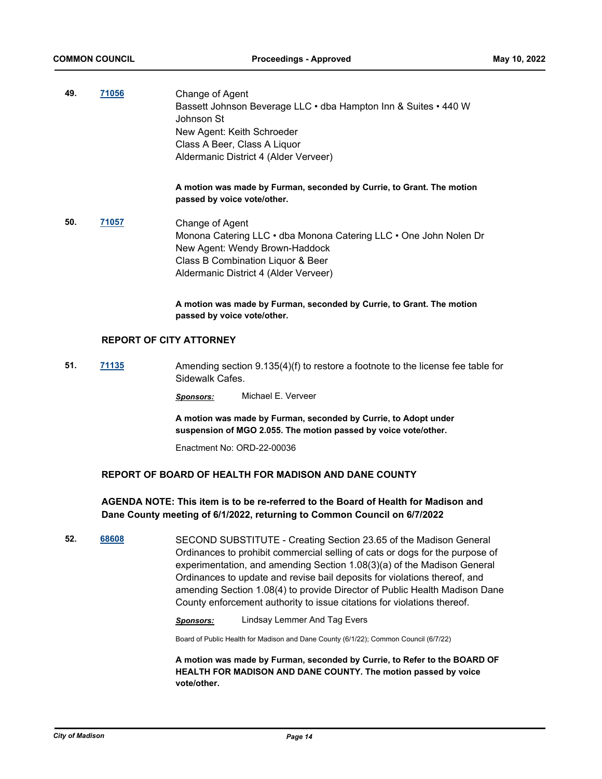| 49. | 71056 | Change of Agent<br>Bassett Johnson Beverage LLC · dba Hampton Inn & Suites · 440 W<br>Johnson St<br>New Agent: Keith Schroeder<br>Class A Beer, Class A Liquor<br>Aldermanic District 4 (Alder Verveer) |
|-----|-------|---------------------------------------------------------------------------------------------------------------------------------------------------------------------------------------------------------|
|     |       | A motion was made by Furman, seconded by Currie, to Grant. The motion<br>passed by voice vote/other.                                                                                                    |
| 50. | 71057 | Change of Agent<br>Monona Catering LLC • dba Monona Catering LLC • One John Nolen Dr<br>New Agent: Wendy Brown-Haddock<br>Class B Combination Liquor & Beer<br>Aldermanic District 4 (Alder Verveer)    |
|     |       | A motion was made by Furman, seconded by Currie, to Grant. The motion                                                                                                                                   |

### **REPORT OF CITY ATTORNEY**

**51. [71135](http://madison.legistar.com/gateway.aspx?m=l&id=/matter.aspx?key=83086)** Amending section 9.135(4)(f) to restore a footnote to the license fee table for Sidewalk Cafes.

*Sponsors:* Michael E. Verveer

**A motion was made by Furman, seconded by Currie, to Adopt under suspension of MGO 2.055. The motion passed by voice vote/other.**

Enactment No: ORD-22-00036

**passed by voice vote/other.**

### **REPORT OF BOARD OF HEALTH FOR MADISON AND DANE COUNTY**

### **AGENDA NOTE: This item is to be re-referred to the Board of Health for Madison and Dane County meeting of 6/1/2022, returning to Common Council on 6/7/2022**

**52. [68608](http://madison.legistar.com/gateway.aspx?m=l&id=/matter.aspx?key=80233)** SECOND SUBSTITUTE - Creating Section 23.65 of the Madison General Ordinances to prohibit commercial selling of cats or dogs for the purpose of experimentation, and amending Section 1.08(3)(a) of the Madison General Ordinances to update and revise bail deposits for violations thereof, and amending Section 1.08(4) to provide Director of Public Health Madison Dane County enforcement authority to issue citations for violations thereof.

*Sponsors:* Lindsay Lemmer And Tag Evers

Board of Public Health for Madison and Dane County (6/1/22); Common Council (6/7/22)

**A motion was made by Furman, seconded by Currie, to Refer to the BOARD OF HEALTH FOR MADISON AND DANE COUNTY. The motion passed by voice vote/other.**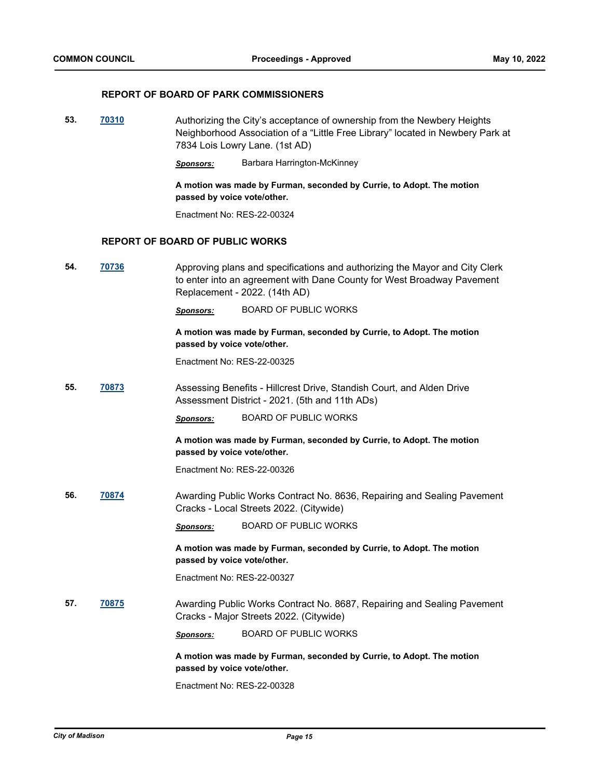### **REPORT OF BOARD OF PARK COMMISSIONERS**

**53. [70310](http://madison.legistar.com/gateway.aspx?m=l&id=/matter.aspx?key=81392)** Authorizing the City's acceptance of ownership from the Newbery Heights Neighborhood Association of a "Little Free Library" located in Newbery Park at 7834 Lois Lowry Lane. (1st AD)

*Sponsors:* Barbara Harrington-McKinney

**A motion was made by Furman, seconded by Currie, to Adopt. The motion passed by voice vote/other.**

Enactment No: RES-22-00324

### **REPORT OF BOARD OF PUBLIC WORKS**

**54. [70736](http://madison.legistar.com/gateway.aspx?m=l&id=/matter.aspx?key=82750)** Approving plans and specifications and authorizing the Mayor and City Clerk to enter into an agreement with Dane County for West Broadway Pavement Replacement - 2022. (14th AD)

*Sponsors:* BOARD OF PUBLIC WORKS

**A motion was made by Furman, seconded by Currie, to Adopt. The motion passed by voice vote/other.**

Enactment No: RES-22-00325

**55. [70873](http://madison.legistar.com/gateway.aspx?m=l&id=/matter.aspx?key=82871)** Assessing Benefits - Hillcrest Drive, Standish Court, and Alden Drive Assessment District - 2021. (5th and 11th ADs)

*Sponsors:* BOARD OF PUBLIC WORKS

**A motion was made by Furman, seconded by Currie, to Adopt. The motion passed by voice vote/other.**

Enactment No: RES-22-00326

**56. [70874](http://madison.legistar.com/gateway.aspx?m=l&id=/matter.aspx?key=82872)** Awarding Public Works Contract No. 8636, Repairing and Sealing Pavement Cracks - Local Streets 2022. (Citywide)

*Sponsors:* BOARD OF PUBLIC WORKS

**A motion was made by Furman, seconded by Currie, to Adopt. The motion passed by voice vote/other.**

Enactment No: RES-22-00327

**57. [70875](http://madison.legistar.com/gateway.aspx?m=l&id=/matter.aspx?key=82873)** Awarding Public Works Contract No. 8687, Repairing and Sealing Pavement Cracks - Major Streets 2022. (Citywide)

*Sponsors:* BOARD OF PUBLIC WORKS

**A motion was made by Furman, seconded by Currie, to Adopt. The motion passed by voice vote/other.**

Enactment No: RES-22-00328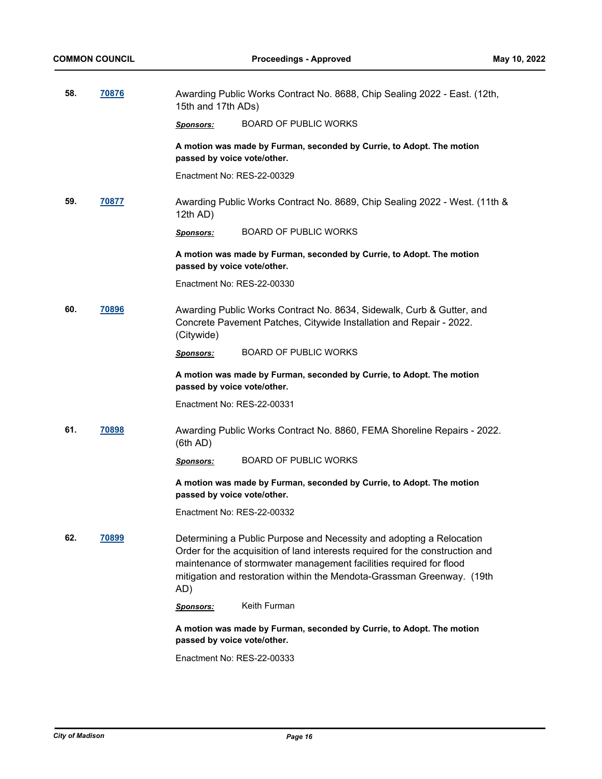| 58. | 70876 | 15th and 17th ADs)                                                                                   | Awarding Public Works Contract No. 8688, Chip Sealing 2022 - East. (12th,                                                                                                                                                                                                                             |  |
|-----|-------|------------------------------------------------------------------------------------------------------|-------------------------------------------------------------------------------------------------------------------------------------------------------------------------------------------------------------------------------------------------------------------------------------------------------|--|
|     |       | <b>Sponsors:</b>                                                                                     | <b>BOARD OF PUBLIC WORKS</b>                                                                                                                                                                                                                                                                          |  |
|     |       | passed by voice vote/other.                                                                          | A motion was made by Furman, seconded by Currie, to Adopt. The motion                                                                                                                                                                                                                                 |  |
|     |       | Enactment No: RES-22-00329                                                                           |                                                                                                                                                                                                                                                                                                       |  |
| 59. | 70877 | 12th AD)                                                                                             | Awarding Public Works Contract No. 8689, Chip Sealing 2022 - West. (11th &                                                                                                                                                                                                                            |  |
|     |       | <b>Sponsors:</b>                                                                                     | <b>BOARD OF PUBLIC WORKS</b>                                                                                                                                                                                                                                                                          |  |
|     |       | A motion was made by Furman, seconded by Currie, to Adopt. The motion<br>passed by voice vote/other. |                                                                                                                                                                                                                                                                                                       |  |
|     |       | Enactment No: RES-22-00330                                                                           |                                                                                                                                                                                                                                                                                                       |  |
| 60. | 70896 | (Citywide)                                                                                           | Awarding Public Works Contract No. 8634, Sidewalk, Curb & Gutter, and<br>Concrete Pavement Patches, Citywide Installation and Repair - 2022.                                                                                                                                                          |  |
|     |       | <b>Sponsors:</b>                                                                                     | <b>BOARD OF PUBLIC WORKS</b>                                                                                                                                                                                                                                                                          |  |
|     |       | passed by voice vote/other.                                                                          | A motion was made by Furman, seconded by Currie, to Adopt. The motion                                                                                                                                                                                                                                 |  |
|     |       | Enactment No: RES-22-00331                                                                           |                                                                                                                                                                                                                                                                                                       |  |
| 61. | 70898 | (6th AD)                                                                                             | Awarding Public Works Contract No. 8860, FEMA Shoreline Repairs - 2022.                                                                                                                                                                                                                               |  |
|     |       | Sponsors:                                                                                            | <b>BOARD OF PUBLIC WORKS</b>                                                                                                                                                                                                                                                                          |  |
|     |       | passed by voice vote/other.                                                                          | A motion was made by Furman, seconded by Currie, to Adopt. The motion                                                                                                                                                                                                                                 |  |
|     |       | Enactment No: RES-22-00332                                                                           |                                                                                                                                                                                                                                                                                                       |  |
| 62. | 70899 | AD)                                                                                                  | Determining a Public Purpose and Necessity and adopting a Relocation<br>Order for the acquisition of land interests required for the construction and<br>maintenance of stormwater management facilities required for flood<br>mitigation and restoration within the Mendota-Grassman Greenway. (19th |  |
|     |       | Sponsors:                                                                                            | Keith Furman                                                                                                                                                                                                                                                                                          |  |
|     |       | passed by voice vote/other.                                                                          | A motion was made by Furman, seconded by Currie, to Adopt. The motion                                                                                                                                                                                                                                 |  |
|     |       | Enactment No: RES-22-00333                                                                           |                                                                                                                                                                                                                                                                                                       |  |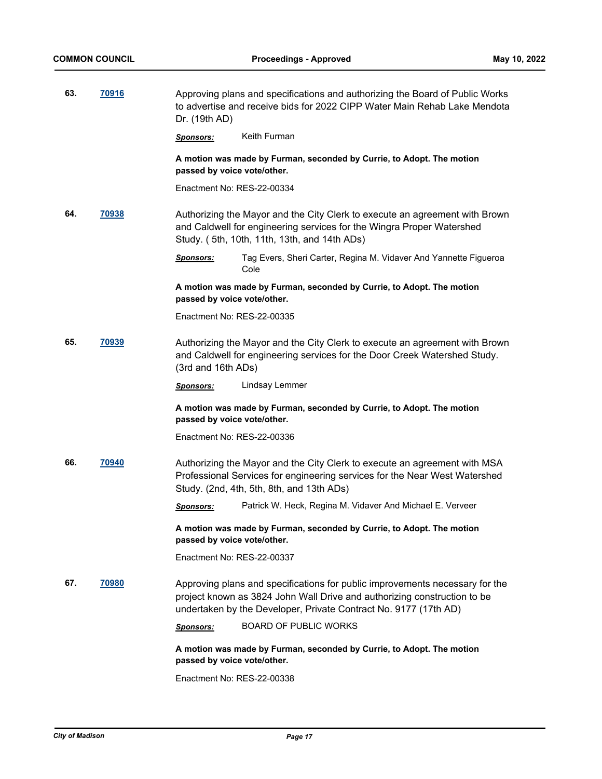| 63. | 70916        | Approving plans and specifications and authorizing the Board of Public Works<br>to advertise and receive bids for 2022 CIPP Water Main Rehab Lake Mendota<br>Dr. (19th AD) |                                                                                                                                                                                                                              |  |
|-----|--------------|----------------------------------------------------------------------------------------------------------------------------------------------------------------------------|------------------------------------------------------------------------------------------------------------------------------------------------------------------------------------------------------------------------------|--|
|     |              | <b>Sponsors:</b>                                                                                                                                                           | Keith Furman                                                                                                                                                                                                                 |  |
|     |              | passed by voice vote/other.                                                                                                                                                | A motion was made by Furman, seconded by Currie, to Adopt. The motion                                                                                                                                                        |  |
|     |              | Enactment No: RES-22-00334                                                                                                                                                 |                                                                                                                                                                                                                              |  |
| 64. | 70938        |                                                                                                                                                                            | Authorizing the Mayor and the City Clerk to execute an agreement with Brown<br>and Caldwell for engineering services for the Wingra Proper Watershed<br>Study. (5th, 10th, 11th, 13th, and 14th ADs)                         |  |
|     |              | Sponsors:                                                                                                                                                                  | Tag Evers, Sheri Carter, Regina M. Vidaver And Yannette Figueroa<br>Cole                                                                                                                                                     |  |
|     |              | passed by voice vote/other.                                                                                                                                                | A motion was made by Furman, seconded by Currie, to Adopt. The motion                                                                                                                                                        |  |
|     |              | Enactment No: RES-22-00335                                                                                                                                                 |                                                                                                                                                                                                                              |  |
| 65. | 70939        | (3rd and 16th ADs)                                                                                                                                                         | Authorizing the Mayor and the City Clerk to execute an agreement with Brown<br>and Caldwell for engineering services for the Door Creek Watershed Study.                                                                     |  |
|     |              | <u>Sponsors:</u>                                                                                                                                                           | Lindsay Lemmer                                                                                                                                                                                                               |  |
|     |              | passed by voice vote/other.                                                                                                                                                | A motion was made by Furman, seconded by Currie, to Adopt. The motion                                                                                                                                                        |  |
|     |              | Enactment No: RES-22-00336                                                                                                                                                 |                                                                                                                                                                                                                              |  |
| 66. | 70940        |                                                                                                                                                                            | Authorizing the Mayor and the City Clerk to execute an agreement with MSA<br>Professional Services for engineering services for the Near West Watershed<br>Study. (2nd, 4th, 5th, 8th, and 13th ADs)                         |  |
|     |              | <b>Sponsors:</b>                                                                                                                                                           | Patrick W. Heck, Regina M. Vidaver And Michael E. Verveer                                                                                                                                                                    |  |
|     |              | passed by voice vote/other.                                                                                                                                                | A motion was made by Furman, seconded by Currie, to Adopt. The motion                                                                                                                                                        |  |
|     |              | Enactment No: RES-22-00337                                                                                                                                                 |                                                                                                                                                                                                                              |  |
| 67. | <b>70980</b> |                                                                                                                                                                            | Approving plans and specifications for public improvements necessary for the<br>project known as 3824 John Wall Drive and authorizing construction to be<br>undertaken by the Developer, Private Contract No. 9177 (17th AD) |  |
|     |              | <b>Sponsors:</b>                                                                                                                                                           | <b>BOARD OF PUBLIC WORKS</b>                                                                                                                                                                                                 |  |
|     |              | passed by voice vote/other.                                                                                                                                                | A motion was made by Furman, seconded by Currie, to Adopt. The motion                                                                                                                                                        |  |
|     |              | Enactment No: RES-22-00338                                                                                                                                                 |                                                                                                                                                                                                                              |  |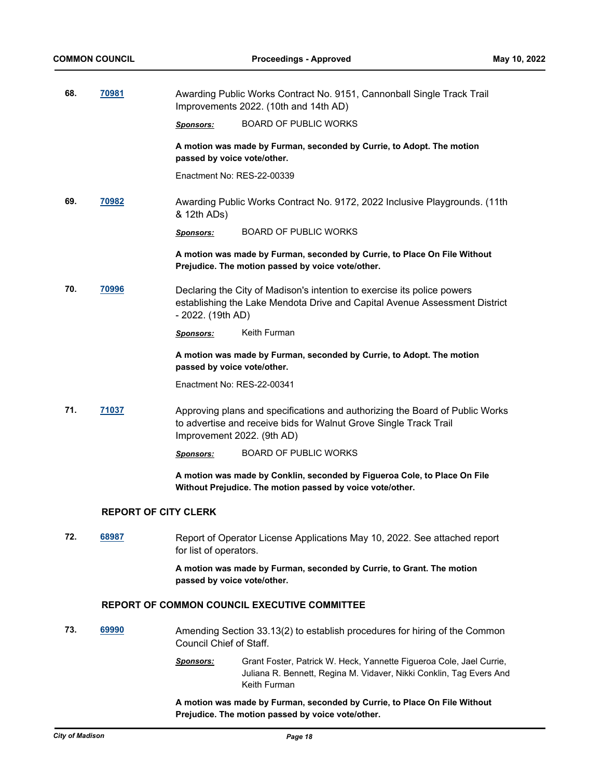| 68. | 70981                       | Awarding Public Works Contract No. 9151, Cannonball Single Track Trail<br>Improvements 2022. (10th and 14th AD)                                                                 |                                                                                                                                                       |  |  |
|-----|-----------------------------|---------------------------------------------------------------------------------------------------------------------------------------------------------------------------------|-------------------------------------------------------------------------------------------------------------------------------------------------------|--|--|
|     |                             | <u>Sponsors:</u>                                                                                                                                                                | <b>BOARD OF PUBLIC WORKS</b>                                                                                                                          |  |  |
|     |                             | passed by voice vote/other.                                                                                                                                                     | A motion was made by Furman, seconded by Currie, to Adopt. The motion                                                                                 |  |  |
|     |                             | Enactment No: RES-22-00339                                                                                                                                                      |                                                                                                                                                       |  |  |
| 69. | 70982                       | & 12th ADs)                                                                                                                                                                     | Awarding Public Works Contract No. 9172, 2022 Inclusive Playgrounds. (11th                                                                            |  |  |
|     |                             | <b>Sponsors:</b>                                                                                                                                                                | <b>BOARD OF PUBLIC WORKS</b>                                                                                                                          |  |  |
|     |                             |                                                                                                                                                                                 | A motion was made by Furman, seconded by Currie, to Place On File Without<br>Prejudice. The motion passed by voice vote/other.                        |  |  |
| 70. | 70996                       | - 2022. (19th AD)                                                                                                                                                               | Declaring the City of Madison's intention to exercise its police powers<br>establishing the Lake Mendota Drive and Capital Avenue Assessment District |  |  |
|     |                             | <b>Sponsors:</b>                                                                                                                                                                | Keith Furman                                                                                                                                          |  |  |
|     |                             | passed by voice vote/other.                                                                                                                                                     | A motion was made by Furman, seconded by Currie, to Adopt. The motion                                                                                 |  |  |
|     |                             | Enactment No: RES-22-00341                                                                                                                                                      |                                                                                                                                                       |  |  |
| 71. | 71037                       | Approving plans and specifications and authorizing the Board of Public Works<br>to advertise and receive bids for Walnut Grove Single Track Trail<br>Improvement 2022. (9th AD) |                                                                                                                                                       |  |  |
|     |                             | <b>Sponsors:</b>                                                                                                                                                                | <b>BOARD OF PUBLIC WORKS</b>                                                                                                                          |  |  |
|     |                             |                                                                                                                                                                                 | A motion was made by Conklin, seconded by Figueroa Cole, to Place On File<br>Without Prejudice. The motion passed by voice vote/other.                |  |  |
|     | <b>REPORT OF CITY CLERK</b> |                                                                                                                                                                                 |                                                                                                                                                       |  |  |
| 72. | 68987                       | for list of operators.                                                                                                                                                          | Report of Operator License Applications May 10, 2022. See attached report                                                                             |  |  |
|     |                             | passed by voice vote/other.                                                                                                                                                     | A motion was made by Furman, seconded by Currie, to Grant. The motion                                                                                 |  |  |
|     |                             |                                                                                                                                                                                 | REPORT OF COMMON COUNCIL EXECUTIVE COMMITTEE                                                                                                          |  |  |
| 73. | 69990                       | Council Chief of Staff.                                                                                                                                                         | Amending Section 33.13(2) to establish procedures for hiring of the Common                                                                            |  |  |
|     |                             |                                                                                                                                                                                 |                                                                                                                                                       |  |  |

*Sponsors:* Grant Foster, Patrick W. Heck, Yannette Figueroa Cole, Jael Currie, Juliana R. Bennett, Regina M. Vidaver, Nikki Conklin, Tag Evers And Keith Furman

**A motion was made by Furman, seconded by Currie, to Place On File Without Prejudice. The motion passed by voice vote/other.**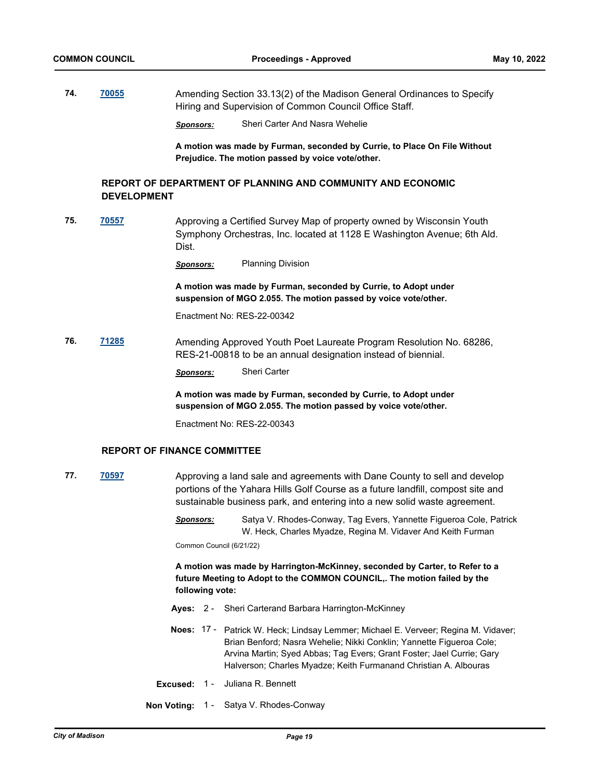**74. [70055](http://madison.legistar.com/gateway.aspx?m=l&id=/matter.aspx?key=81252)** Amending Section 33.13(2) of the Madison General Ordinances to Specify Hiring and Supervision of Common Council Office Staff.

*Sponsors:* Sheri Carter And Nasra Wehelie

**A motion was made by Furman, seconded by Currie, to Place On File Without Prejudice. The motion passed by voice vote/other.**

### **REPORT OF DEPARTMENT OF PLANNING AND COMMUNITY AND ECONOMIC DEVELOPMENT**

**75. [70557](http://madison.legistar.com/gateway.aspx?m=l&id=/matter.aspx?key=82596)** Approving a Certified Survey Map of property owned by Wisconsin Youth Symphony Orchestras, Inc. located at 1128 E Washington Avenue; 6th Ald. Dist.

*Sponsors:* Planning Division

**A motion was made by Furman, seconded by Currie, to Adopt under suspension of MGO 2.055. The motion passed by voice vote/other.**

Enactment No: RES-22-00342

**76. [71285](http://madison.legistar.com/gateway.aspx?m=l&id=/matter.aspx?key=83226)** Amending Approved Youth Poet Laureate Program Resolution No. 68286, RES-21-00818 to be an annual designation instead of biennial.

*Sponsors:* Sheri Carter

**A motion was made by Furman, seconded by Currie, to Adopt under suspension of MGO 2.055. The motion passed by voice vote/other.**

Enactment No: RES-22-00343

### **REPORT OF FINANCE COMMITTEE**

- **77. [70597](http://madison.legistar.com/gateway.aspx?m=l&id=/matter.aspx?key=82628)** Approving a land sale and agreements with Dane County to sell and develop portions of the Yahara Hills Golf Course as a future landfill, compost site and sustainable business park, and entering into a new solid waste agreement.
	- *Sponsors:* Satya V. Rhodes-Conway, Tag Evers, Yannette Figueroa Cole, Patrick W. Heck, Charles Myadze, Regina M. Vidaver And Keith Furman

Common Council (6/21/22)

**A motion was made by Harrington-McKinney, seconded by Carter, to Refer to a future Meeting to Adopt to the COMMON COUNCIL,. The motion failed by the following vote:**

- **Ayes:** 2 Sheri Carterand Barbara Harrington-McKinney
- Noes: 17 Patrick W. Heck; Lindsay Lemmer; Michael E. Verveer; Regina M. Vidaver; Brian Benford; Nasra Wehelie; Nikki Conklin; Yannette Figueroa Cole; Arvina Martin; Syed Abbas; Tag Evers; Grant Foster; Jael Currie; Gary Halverson; Charles Myadze; Keith Furmanand Christian A. Albouras
- **Excused:** 1 Juliana R. Bennett
- **Non Voting:** 1 Satya V. Rhodes-Conway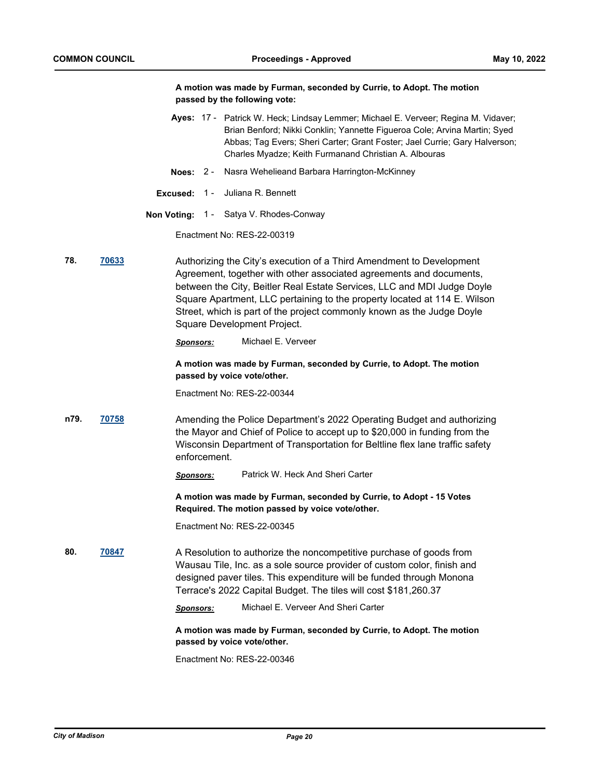|      |       |                  | A motion was made by Furman, seconded by Currie, to Adopt. The motion<br>passed by the following vote:                                                                                                                                                                                                                                                                                                       |
|------|-------|------------------|--------------------------------------------------------------------------------------------------------------------------------------------------------------------------------------------------------------------------------------------------------------------------------------------------------------------------------------------------------------------------------------------------------------|
|      |       |                  | Ayes: 17 - Patrick W. Heck; Lindsay Lemmer; Michael E. Verveer; Regina M. Vidaver;<br>Brian Benford; Nikki Conklin; Yannette Figueroa Cole; Arvina Martin; Syed<br>Abbas; Tag Evers; Sheri Carter; Grant Foster; Jael Currie; Gary Halverson;<br>Charles Myadze; Keith Furmanand Christian A. Albouras                                                                                                       |
|      |       |                  | Noes: 2 - Nasra Wehelieand Barbara Harrington-McKinney                                                                                                                                                                                                                                                                                                                                                       |
|      |       | Excused:         | 1 - Juliana R. Bennett                                                                                                                                                                                                                                                                                                                                                                                       |
|      |       |                  | <b>Non Voting: 1 - Satya V. Rhodes-Conway</b>                                                                                                                                                                                                                                                                                                                                                                |
|      |       |                  | Enactment No: RES-22-00319                                                                                                                                                                                                                                                                                                                                                                                   |
| 78.  | 70633 |                  | Authorizing the City's execution of a Third Amendment to Development<br>Agreement, together with other associated agreements and documents,<br>between the City, Beitler Real Estate Services, LLC and MDI Judge Doyle<br>Square Apartment, LLC pertaining to the property located at 114 E. Wilson<br>Street, which is part of the project commonly known as the Judge Doyle<br>Square Development Project. |
|      |       | Sponsors:        | Michael E. Verveer                                                                                                                                                                                                                                                                                                                                                                                           |
|      |       |                  | A motion was made by Furman, seconded by Currie, to Adopt. The motion<br>passed by voice vote/other.                                                                                                                                                                                                                                                                                                         |
|      |       |                  | Enactment No: RES-22-00344                                                                                                                                                                                                                                                                                                                                                                                   |
| n79. | 70758 | enforcement.     | Amending the Police Department's 2022 Operating Budget and authorizing<br>the Mayor and Chief of Police to accept up to \$20,000 in funding from the<br>Wisconsin Department of Transportation for Beltline flex lane traffic safety                                                                                                                                                                         |
|      |       | <b>Sponsors:</b> | Patrick W. Heck And Sheri Carter                                                                                                                                                                                                                                                                                                                                                                             |
|      |       |                  | A motion was made by Furman, seconded by Currie, to Adopt - 15 Votes<br>Required. The motion passed by voice vote/other.                                                                                                                                                                                                                                                                                     |
|      |       |                  | Enactment No: RES-22-00345                                                                                                                                                                                                                                                                                                                                                                                   |
| 80.  | 70847 |                  | A Resolution to authorize the noncompetitive purchase of goods from<br>Wausau Tile, Inc. as a sole source provider of custom color, finish and<br>designed paver tiles. This expenditure will be funded through Monona<br>Terrace's 2022 Capital Budget. The tiles will cost \$181,260.37                                                                                                                    |
|      |       | <b>Sponsors:</b> | Michael E. Verveer And Sheri Carter                                                                                                                                                                                                                                                                                                                                                                          |
|      |       |                  | A motion was made by Furman, seconded by Currie, to Adopt. The motion<br>passed by voice vote/other.                                                                                                                                                                                                                                                                                                         |
|      |       |                  | Enactment No: RES-22-00346                                                                                                                                                                                                                                                                                                                                                                                   |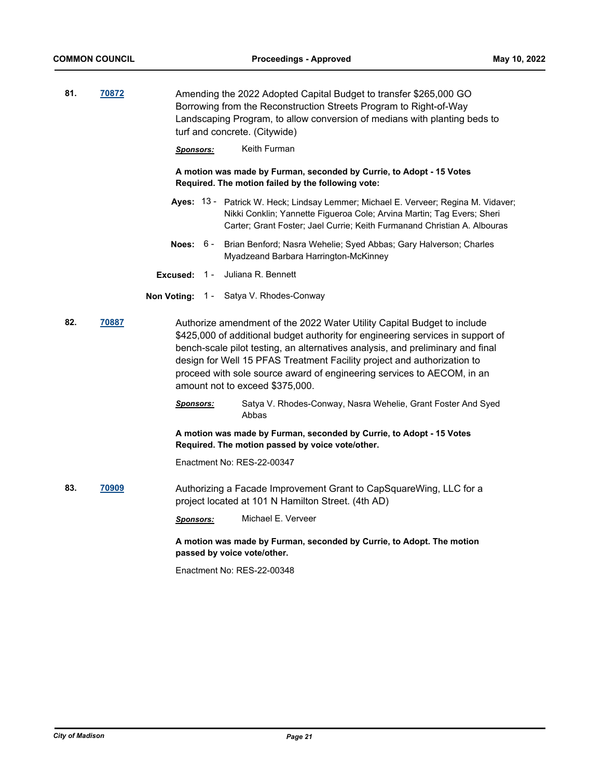| 81. | 70872 | Amending the 2022 Adopted Capital Budget to transfer \$265,000 GO<br>Borrowing from the Reconstruction Streets Program to Right-of-Way<br>Landscaping Program, to allow conversion of medians with planting beds to<br>turf and concrete. (Citywide)<br>Keith Furman<br>Sponsors: |  |                                                                                                                                                                                                                                                                                                                                                                                                                                      |  |
|-----|-------|-----------------------------------------------------------------------------------------------------------------------------------------------------------------------------------------------------------------------------------------------------------------------------------|--|--------------------------------------------------------------------------------------------------------------------------------------------------------------------------------------------------------------------------------------------------------------------------------------------------------------------------------------------------------------------------------------------------------------------------------------|--|
|     |       | A motion was made by Furman, seconded by Currie, to Adopt - 15 Votes<br>Required. The motion failed by the following vote:                                                                                                                                                        |  |                                                                                                                                                                                                                                                                                                                                                                                                                                      |  |
|     |       |                                                                                                                                                                                                                                                                                   |  | Ayes: 13 - Patrick W. Heck; Lindsay Lemmer; Michael E. Verveer; Regina M. Vidaver;<br>Nikki Conklin; Yannette Figueroa Cole; Arvina Martin; Tag Evers; Sheri<br>Carter; Grant Foster; Jael Currie; Keith Furmanand Christian A. Albouras                                                                                                                                                                                             |  |
|     |       | Noes: $6-$                                                                                                                                                                                                                                                                        |  | Brian Benford; Nasra Wehelie; Syed Abbas; Gary Halverson; Charles<br>Myadzeand Barbara Harrington-McKinney                                                                                                                                                                                                                                                                                                                           |  |
|     |       | $1 -$<br>Excused:                                                                                                                                                                                                                                                                 |  | Juliana R. Bennett                                                                                                                                                                                                                                                                                                                                                                                                                   |  |
|     |       |                                                                                                                                                                                                                                                                                   |  | Non Voting: 1 - Satya V. Rhodes-Conway                                                                                                                                                                                                                                                                                                                                                                                               |  |
| 82. | 70887 |                                                                                                                                                                                                                                                                                   |  | Authorize amendment of the 2022 Water Utility Capital Budget to include<br>\$425,000 of additional budget authority for engineering services in support of<br>bench-scale pilot testing, an alternatives analysis, and preliminary and final<br>design for Well 15 PFAS Treatment Facility project and authorization to<br>proceed with sole source award of engineering services to AECOM, in an<br>amount not to exceed \$375,000. |  |
|     |       | <u>Sponsors:</u>                                                                                                                                                                                                                                                                  |  | Satya V. Rhodes-Conway, Nasra Wehelie, Grant Foster And Syed<br>Abbas                                                                                                                                                                                                                                                                                                                                                                |  |
|     |       |                                                                                                                                                                                                                                                                                   |  | A motion was made by Furman, seconded by Currie, to Adopt - 15 Votes<br>Required. The motion passed by voice vote/other.                                                                                                                                                                                                                                                                                                             |  |
|     |       |                                                                                                                                                                                                                                                                                   |  | Enactment No: RES-22-00347                                                                                                                                                                                                                                                                                                                                                                                                           |  |
| 83. | 70909 |                                                                                                                                                                                                                                                                                   |  | Authorizing a Facade Improvement Grant to CapSquareWing, LLC for a<br>project located at 101 N Hamilton Street. (4th AD)                                                                                                                                                                                                                                                                                                             |  |
|     |       | <b>Sponsors:</b>                                                                                                                                                                                                                                                                  |  | Michael E. Verveer                                                                                                                                                                                                                                                                                                                                                                                                                   |  |
|     |       |                                                                                                                                                                                                                                                                                   |  | A motion was made by Furman, seconded by Currie, to Adopt. The motion<br>passed by voice vote/other.                                                                                                                                                                                                                                                                                                                                 |  |
|     |       |                                                                                                                                                                                                                                                                                   |  | Enactment No: RES-22-00348                                                                                                                                                                                                                                                                                                                                                                                                           |  |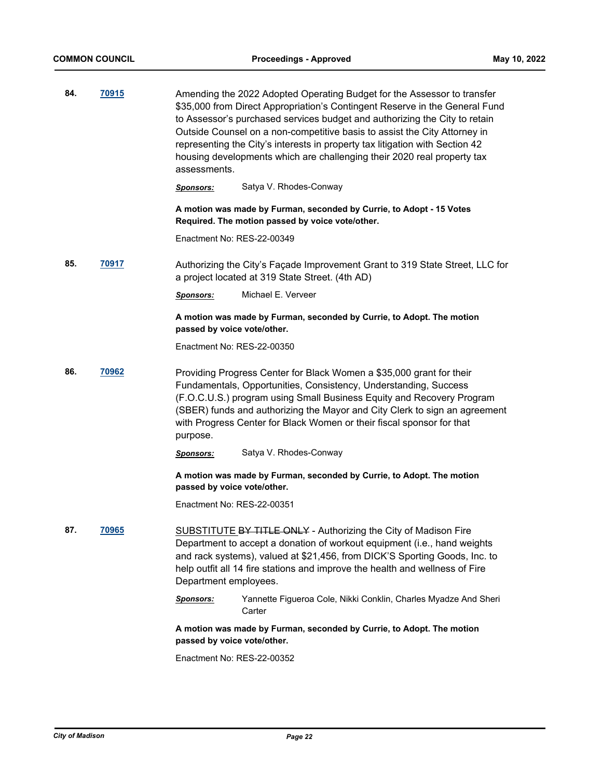| 84. | 70915 | assessments.                | Amending the 2022 Adopted Operating Budget for the Assessor to transfer<br>\$35,000 from Direct Appropriation's Contingent Reserve in the General Fund<br>to Assessor's purchased services budget and authorizing the City to retain<br>Outside Counsel on a non-competitive basis to assist the City Attorney in<br>representing the City's interests in property tax litigation with Section 42<br>housing developments which are challenging their 2020 real property tax |
|-----|-------|-----------------------------|------------------------------------------------------------------------------------------------------------------------------------------------------------------------------------------------------------------------------------------------------------------------------------------------------------------------------------------------------------------------------------------------------------------------------------------------------------------------------|
|     |       | <b>Sponsors:</b>            | Satya V. Rhodes-Conway                                                                                                                                                                                                                                                                                                                                                                                                                                                       |
|     |       |                             | A motion was made by Furman, seconded by Currie, to Adopt - 15 Votes<br>Required. The motion passed by voice vote/other.                                                                                                                                                                                                                                                                                                                                                     |
|     |       | Enactment No: RES-22-00349  |                                                                                                                                                                                                                                                                                                                                                                                                                                                                              |
| 85. | 70917 |                             | Authorizing the City's Façade Improvement Grant to 319 State Street, LLC for<br>a project located at 319 State Street. (4th AD)                                                                                                                                                                                                                                                                                                                                              |
|     |       | <b>Sponsors:</b>            | Michael E. Verveer                                                                                                                                                                                                                                                                                                                                                                                                                                                           |
|     |       | passed by voice vote/other. | A motion was made by Furman, seconded by Currie, to Adopt. The motion                                                                                                                                                                                                                                                                                                                                                                                                        |
|     |       | Enactment No: RES-22-00350  |                                                                                                                                                                                                                                                                                                                                                                                                                                                                              |
| 86. | 70962 | purpose.                    | Providing Progress Center for Black Women a \$35,000 grant for their<br>Fundamentals, Opportunities, Consistency, Understanding, Success<br>(F.O.C.U.S.) program using Small Business Equity and Recovery Program<br>(SBER) funds and authorizing the Mayor and City Clerk to sign an agreement<br>with Progress Center for Black Women or their fiscal sponsor for that                                                                                                     |
|     |       | <b>Sponsors:</b>            | Satya V. Rhodes-Conway                                                                                                                                                                                                                                                                                                                                                                                                                                                       |
|     |       | passed by voice vote/other. | A motion was made by Furman, seconded by Currie, to Adopt. The motion                                                                                                                                                                                                                                                                                                                                                                                                        |
|     |       | Enactment No: RES-22-00351  |                                                                                                                                                                                                                                                                                                                                                                                                                                                                              |
| 87. | 70965 | Department employees.       | SUBSTITUTE BY TITLE ONLY - Authorizing the City of Madison Fire<br>Department to accept a donation of workout equipment (i.e., hand weights<br>and rack systems), valued at \$21,456, from DICK'S Sporting Goods, Inc. to<br>help outfit all 14 fire stations and improve the health and wellness of Fire                                                                                                                                                                    |
|     |       | Sponsors:                   | Yannette Figueroa Cole, Nikki Conklin, Charles Myadze And Sheri<br>Carter                                                                                                                                                                                                                                                                                                                                                                                                    |
|     |       | passed by voice vote/other. | A motion was made by Furman, seconded by Currie, to Adopt. The motion                                                                                                                                                                                                                                                                                                                                                                                                        |
|     |       | Enactment No: RES-22-00352  |                                                                                                                                                                                                                                                                                                                                                                                                                                                                              |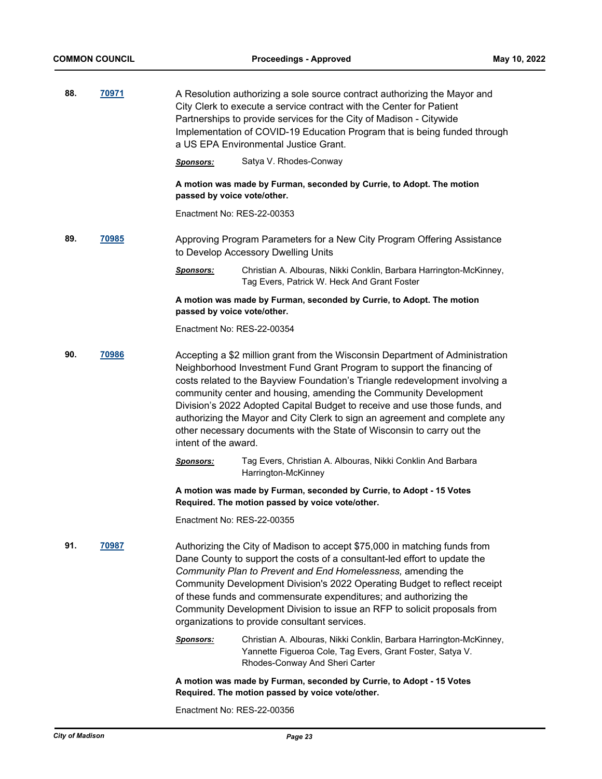| 88.<br>70971 |              | A Resolution authorizing a sole source contract authorizing the Mayor and<br>City Clerk to execute a service contract with the Center for Patient<br>Partnerships to provide services for the City of Madison - Citywide<br>Implementation of COVID-19 Education Program that is being funded through<br>a US EPA Environmental Justice Grant. |                                                                                                                                                                                                                                                                                                                                                                                                                                                                                                                                                   |  |  |
|--------------|--------------|------------------------------------------------------------------------------------------------------------------------------------------------------------------------------------------------------------------------------------------------------------------------------------------------------------------------------------------------|---------------------------------------------------------------------------------------------------------------------------------------------------------------------------------------------------------------------------------------------------------------------------------------------------------------------------------------------------------------------------------------------------------------------------------------------------------------------------------------------------------------------------------------------------|--|--|
|              |              | <u>Sponsors:</u>                                                                                                                                                                                                                                                                                                                               | Satya V. Rhodes-Conway                                                                                                                                                                                                                                                                                                                                                                                                                                                                                                                            |  |  |
|              |              | passed by voice vote/other.                                                                                                                                                                                                                                                                                                                    | A motion was made by Furman, seconded by Currie, to Adopt. The motion                                                                                                                                                                                                                                                                                                                                                                                                                                                                             |  |  |
|              |              | Enactment No: RES-22-00353                                                                                                                                                                                                                                                                                                                     |                                                                                                                                                                                                                                                                                                                                                                                                                                                                                                                                                   |  |  |
| 89.          | <b>70985</b> |                                                                                                                                                                                                                                                                                                                                                | Approving Program Parameters for a New City Program Offering Assistance<br>to Develop Accessory Dwelling Units                                                                                                                                                                                                                                                                                                                                                                                                                                    |  |  |
|              |              | <b>Sponsors:</b>                                                                                                                                                                                                                                                                                                                               | Christian A. Albouras, Nikki Conklin, Barbara Harrington-McKinney,<br>Tag Evers, Patrick W. Heck And Grant Foster                                                                                                                                                                                                                                                                                                                                                                                                                                 |  |  |
|              |              | passed by voice vote/other.                                                                                                                                                                                                                                                                                                                    | A motion was made by Furman, seconded by Currie, to Adopt. The motion                                                                                                                                                                                                                                                                                                                                                                                                                                                                             |  |  |
|              |              | Enactment No: RES-22-00354                                                                                                                                                                                                                                                                                                                     |                                                                                                                                                                                                                                                                                                                                                                                                                                                                                                                                                   |  |  |
| 90.          | 70986        | intent of the award.                                                                                                                                                                                                                                                                                                                           | Accepting a \$2 million grant from the Wisconsin Department of Administration<br>Neighborhood Investment Fund Grant Program to support the financing of<br>costs related to the Bayview Foundation's Triangle redevelopment involving a<br>community center and housing, amending the Community Development<br>Division's 2022 Adopted Capital Budget to receive and use those funds, and<br>authorizing the Mayor and City Clerk to sign an agreement and complete any<br>other necessary documents with the State of Wisconsin to carry out the |  |  |
|              |              | <b>Sponsors:</b>                                                                                                                                                                                                                                                                                                                               | Tag Evers, Christian A. Albouras, Nikki Conklin And Barbara<br>Harrington-McKinney                                                                                                                                                                                                                                                                                                                                                                                                                                                                |  |  |
|              |              |                                                                                                                                                                                                                                                                                                                                                | A motion was made by Furman, seconded by Currie, to Adopt - 15 Votes<br>Required. The motion passed by voice vote/other.                                                                                                                                                                                                                                                                                                                                                                                                                          |  |  |
|              |              | Enactment No: RES-22-00355                                                                                                                                                                                                                                                                                                                     |                                                                                                                                                                                                                                                                                                                                                                                                                                                                                                                                                   |  |  |
| 91.          | 70987        |                                                                                                                                                                                                                                                                                                                                                | Authorizing the City of Madison to accept \$75,000 in matching funds from<br>Dane County to support the costs of a consultant-led effort to update the<br>Community Plan to Prevent and End Homelessness, amending the<br>Community Development Division's 2022 Operating Budget to reflect receipt<br>of these funds and commensurate expenditures; and authorizing the<br>Community Development Division to issue an RFP to solicit proposals from<br>organizations to provide consultant services.                                             |  |  |
|              |              | <u>Sponsors:</u>                                                                                                                                                                                                                                                                                                                               | Christian A. Albouras, Nikki Conklin, Barbara Harrington-McKinney,<br>Yannette Figueroa Cole, Tag Evers, Grant Foster, Satya V.<br>Rhodes-Conway And Sheri Carter                                                                                                                                                                                                                                                                                                                                                                                 |  |  |
|              |              |                                                                                                                                                                                                                                                                                                                                                | A motion was made by Furman, seconded by Currie, to Adopt - 15 Votes<br>Required. The motion passed by voice vote/other.                                                                                                                                                                                                                                                                                                                                                                                                                          |  |  |

Enactment No: RES-22-00356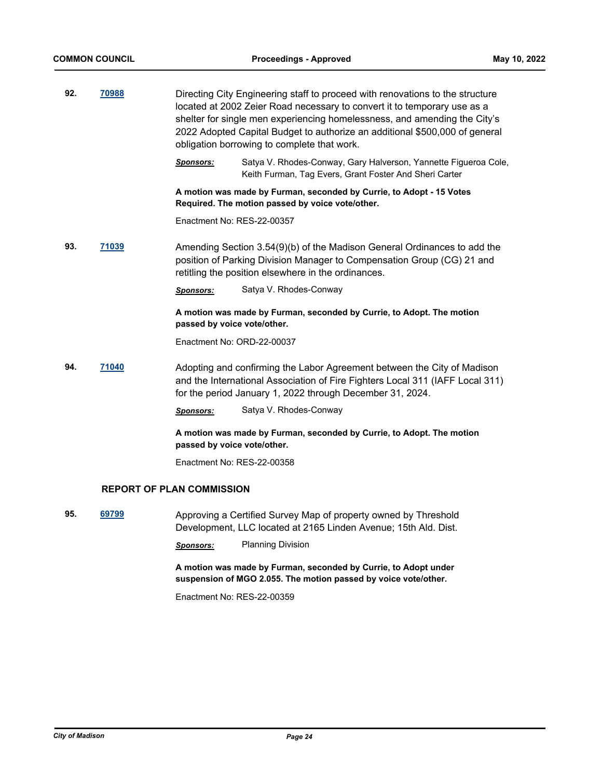| 92. | 70988                            |                             | Directing City Engineering staff to proceed with renovations to the structure<br>located at 2002 Zeier Road necessary to convert it to temporary use as a<br>shelter for single men experiencing homelessness, and amending the City's<br>2022 Adopted Capital Budget to authorize an additional \$500,000 of general<br>obligation borrowing to complete that work. |
|-----|----------------------------------|-----------------------------|----------------------------------------------------------------------------------------------------------------------------------------------------------------------------------------------------------------------------------------------------------------------------------------------------------------------------------------------------------------------|
|     |                                  | <u>Sponsors:</u>            | Satya V. Rhodes-Conway, Gary Halverson, Yannette Figueroa Cole,<br>Keith Furman, Tag Evers, Grant Foster And Sheri Carter                                                                                                                                                                                                                                            |
|     |                                  |                             | A motion was made by Furman, seconded by Currie, to Adopt - 15 Votes<br>Required. The motion passed by voice vote/other.                                                                                                                                                                                                                                             |
|     |                                  | Enactment No: RES-22-00357  |                                                                                                                                                                                                                                                                                                                                                                      |
| 93. | <u>71039</u>                     |                             | Amending Section 3.54(9)(b) of the Madison General Ordinances to add the<br>position of Parking Division Manager to Compensation Group (CG) 21 and<br>retitling the position elsewhere in the ordinances.                                                                                                                                                            |
|     |                                  | <u>Sponsors:</u>            | Satya V. Rhodes-Conway                                                                                                                                                                                                                                                                                                                                               |
|     |                                  | passed by voice vote/other. | A motion was made by Furman, seconded by Currie, to Adopt. The motion                                                                                                                                                                                                                                                                                                |
|     |                                  | Enactment No: ORD-22-00037  |                                                                                                                                                                                                                                                                                                                                                                      |
| 94. | <u>71040</u>                     |                             | Adopting and confirming the Labor Agreement between the City of Madison<br>and the International Association of Fire Fighters Local 311 (IAFF Local 311)<br>for the period January 1, 2022 through December 31, 2024.                                                                                                                                                |
|     |                                  | <u>Sponsors:</u>            | Satya V. Rhodes-Conway                                                                                                                                                                                                                                                                                                                                               |
|     |                                  | passed by voice vote/other. | A motion was made by Furman, seconded by Currie, to Adopt. The motion                                                                                                                                                                                                                                                                                                |
|     |                                  | Enactment No: RES-22-00358  |                                                                                                                                                                                                                                                                                                                                                                      |
|     | <b>REPORT OF PLAN COMMISSION</b> |                             |                                                                                                                                                                                                                                                                                                                                                                      |
| 95. | 69799                            |                             | Approving a Certified Survey Map of property owned by Threshold<br>Development, LLC located at 2165 Linden Avenue; 15th Ald. Dist.                                                                                                                                                                                                                                   |
|     |                                  | Sponsors:                   | <b>Planning Division</b>                                                                                                                                                                                                                                                                                                                                             |
|     |                                  |                             | A motion was made by Furman, seconded by Currie, to Adopt under<br>suspension of MGO 2.055. The motion passed by voice vote/other.                                                                                                                                                                                                                                   |
|     |                                  | Enactment No: RES-22-00359  |                                                                                                                                                                                                                                                                                                                                                                      |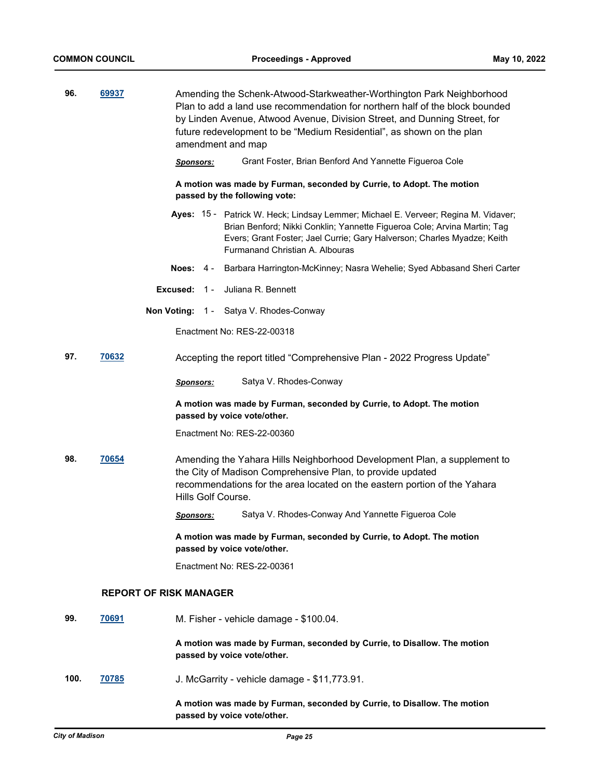| 96.  | 69937                         | Amending the Schenk-Atwood-Starkweather-Worthington Park Neighborhood<br>Plan to add a land use recommendation for northern half of the block bounded<br>by Linden Avenue, Atwood Avenue, Division Street, and Dunning Street, for<br>future redevelopment to be "Medium Residential", as shown on the plan<br>amendment and map |                                                                                                                                                                                                                                                                                     |  |  |
|------|-------------------------------|----------------------------------------------------------------------------------------------------------------------------------------------------------------------------------------------------------------------------------------------------------------------------------------------------------------------------------|-------------------------------------------------------------------------------------------------------------------------------------------------------------------------------------------------------------------------------------------------------------------------------------|--|--|
|      |                               | Grant Foster, Brian Benford And Yannette Figueroa Cole                                                                                                                                                                                                                                                                           |                                                                                                                                                                                                                                                                                     |  |  |
|      |                               |                                                                                                                                                                                                                                                                                                                                  | A motion was made by Furman, seconded by Currie, to Adopt. The motion<br>passed by the following vote:                                                                                                                                                                              |  |  |
|      |                               |                                                                                                                                                                                                                                                                                                                                  | Ayes: 15 - Patrick W. Heck; Lindsay Lemmer; Michael E. Verveer; Regina M. Vidaver;<br>Brian Benford; Nikki Conklin; Yannette Figueroa Cole; Arvina Martin; Tag<br>Evers; Grant Foster; Jael Currie; Gary Halverson; Charles Myadze; Keith<br><b>Furmanand Christian A. Albouras</b> |  |  |
|      |                               | Noes: $4-$                                                                                                                                                                                                                                                                                                                       | Barbara Harrington-McKinney; Nasra Wehelie; Syed Abbasand Sheri Carter                                                                                                                                                                                                              |  |  |
|      |                               | Excused: $1 -$                                                                                                                                                                                                                                                                                                                   | Juliana R. Bennett                                                                                                                                                                                                                                                                  |  |  |
|      |                               |                                                                                                                                                                                                                                                                                                                                  | Non Voting: 1 - Satya V. Rhodes-Conway                                                                                                                                                                                                                                              |  |  |
|      |                               | Enactment No: RES-22-00318                                                                                                                                                                                                                                                                                                       |                                                                                                                                                                                                                                                                                     |  |  |
| 97.  | 70632                         |                                                                                                                                                                                                                                                                                                                                  | Accepting the report titled "Comprehensive Plan - 2022 Progress Update"                                                                                                                                                                                                             |  |  |
|      |                               | <u>Sponsors:</u>                                                                                                                                                                                                                                                                                                                 | Satya V. Rhodes-Conway                                                                                                                                                                                                                                                              |  |  |
|      |                               | A motion was made by Furman, seconded by Currie, to Adopt. The motion<br>passed by voice vote/other.                                                                                                                                                                                                                             |                                                                                                                                                                                                                                                                                     |  |  |
|      |                               |                                                                                                                                                                                                                                                                                                                                  | Enactment No: RES-22-00360                                                                                                                                                                                                                                                          |  |  |
| 98.  | 70654                         |                                                                                                                                                                                                                                                                                                                                  | Amending the Yahara Hills Neighborhood Development Plan, a supplement to<br>the City of Madison Comprehensive Plan, to provide updated<br>recommendations for the area located on the eastern portion of the Yahara<br>Hills Golf Course.                                           |  |  |
|      |                               | <u>Sponsors:</u>                                                                                                                                                                                                                                                                                                                 | Satya V. Rhodes-Conway And Yannette Figueroa Cole                                                                                                                                                                                                                                   |  |  |
|      |                               |                                                                                                                                                                                                                                                                                                                                  | A motion was made by Furman, seconded by Currie, to Adopt. The motion<br>passed by voice vote/other.                                                                                                                                                                                |  |  |
|      |                               | Enactment No: RES-22-00361                                                                                                                                                                                                                                                                                                       |                                                                                                                                                                                                                                                                                     |  |  |
|      | <b>REPORT OF RISK MANAGER</b> |                                                                                                                                                                                                                                                                                                                                  |                                                                                                                                                                                                                                                                                     |  |  |
| 99.  | 70691                         |                                                                                                                                                                                                                                                                                                                                  | M. Fisher - vehicle damage - \$100.04.                                                                                                                                                                                                                                              |  |  |
|      |                               |                                                                                                                                                                                                                                                                                                                                  | A motion was made by Furman, seconded by Currie, to Disallow. The motion<br>passed by voice vote/other.                                                                                                                                                                             |  |  |
| 100. | <u>70785</u>                  |                                                                                                                                                                                                                                                                                                                                  | J. McGarrity - vehicle damage - \$11,773.91.                                                                                                                                                                                                                                        |  |  |
|      |                               |                                                                                                                                                                                                                                                                                                                                  | A motion was made by Furman, seconded by Currie, to Disallow. The motion<br>passed by voice vote/other.                                                                                                                                                                             |  |  |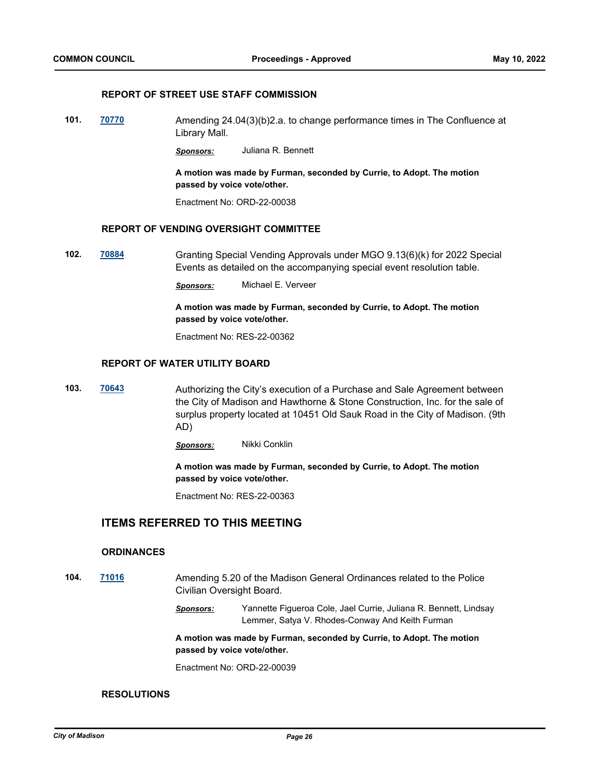### **REPORT OF STREET USE STAFF COMMISSION**

**101. [70770](http://madison.legistar.com/gateway.aspx?m=l&id=/matter.aspx?key=82784)** Amending 24.04(3)(b)2.a. to change performance times in The Confluence at Library Mall.

*Sponsors:* Juliana R. Bennett

**A motion was made by Furman, seconded by Currie, to Adopt. The motion passed by voice vote/other.**

Enactment No: ORD-22-00038

### **REPORT OF VENDING OVERSIGHT COMMITTEE**

**102. [70884](http://madison.legistar.com/gateway.aspx?m=l&id=/matter.aspx?key=82882)** Granting Special Vending Approvals under MGO 9.13(6)(k) for 2022 Special Events as detailed on the accompanying special event resolution table.

*Sponsors:* Michael E. Verveer

**A motion was made by Furman, seconded by Currie, to Adopt. The motion passed by voice vote/other.**

Enactment No: RES-22-00362

### **REPORT OF WATER UTILITY BOARD**

**103. [70643](http://madison.legistar.com/gateway.aspx?m=l&id=/matter.aspx?key=82674)** Authorizing the City's execution of a Purchase and Sale Agreement between the City of Madison and Hawthorne & Stone Construction, Inc. for the sale of surplus property located at 10451 Old Sauk Road in the City of Madison. (9th AD)

*Sponsors:* Nikki Conklin

**A motion was made by Furman, seconded by Currie, to Adopt. The motion passed by voice vote/other.**

Enactment No: RES-22-00363

# **ITEMS REFERRED TO THIS MEETING**

### **ORDINANCES**

- **104. [71016](http://madison.legistar.com/gateway.aspx?m=l&id=/matter.aspx?key=82987)** Amending 5.20 of the Madison General Ordinances related to the Police Civilian Oversight Board.
	- *Sponsors:* Yannette Figueroa Cole, Jael Currie, Juliana R. Bennett, Lindsay Lemmer, Satya V. Rhodes-Conway And Keith Furman

**A motion was made by Furman, seconded by Currie, to Adopt. The motion passed by voice vote/other.**

Enactment No: ORD-22-00039

### **RESOLUTIONS**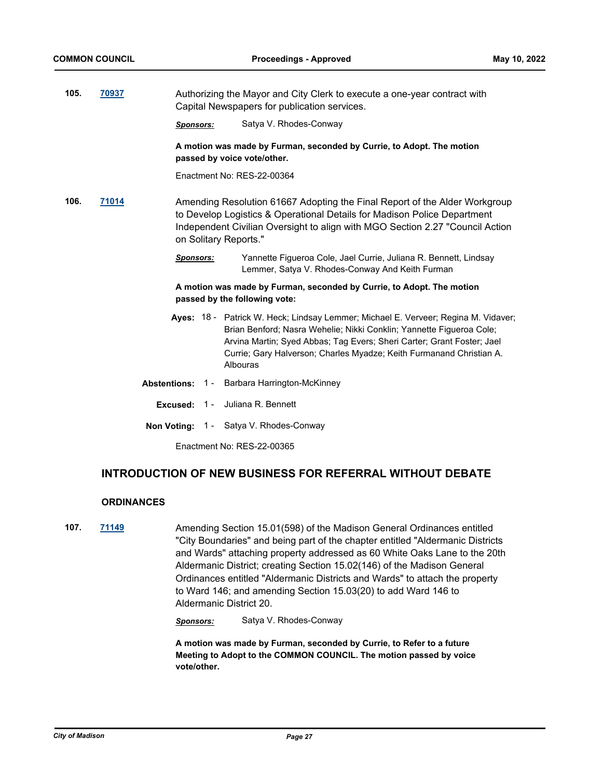| 105.<br>70937              |       |                  | Authorizing the Mayor and City Clerk to execute a one-year contract with<br>Capital Newspapers for publication services. |                                                                                                                                                                                                                                                                                                                          |  |  |
|----------------------------|-------|------------------|--------------------------------------------------------------------------------------------------------------------------|--------------------------------------------------------------------------------------------------------------------------------------------------------------------------------------------------------------------------------------------------------------------------------------------------------------------------|--|--|
|                            |       | <b>Sponsors:</b> |                                                                                                                          | Satya V. Rhodes-Conway                                                                                                                                                                                                                                                                                                   |  |  |
|                            |       |                  |                                                                                                                          | A motion was made by Furman, seconded by Currie, to Adopt. The motion<br>passed by voice vote/other.                                                                                                                                                                                                                     |  |  |
|                            |       |                  |                                                                                                                          | Enactment No: RES-22-00364                                                                                                                                                                                                                                                                                               |  |  |
| 106.                       | 71014 |                  |                                                                                                                          | Amending Resolution 61667 Adopting the Final Report of the Alder Workgroup<br>to Develop Logistics & Operational Details for Madison Police Department<br>Independent Civilian Oversight to align with MGO Section 2.27 "Council Action<br>on Solitary Reports."                                                         |  |  |
|                            |       | <b>Sponsors:</b> |                                                                                                                          | Yannette Figueroa Cole, Jael Currie, Juliana R. Bennett, Lindsay<br>Lemmer, Satya V. Rhodes-Conway And Keith Furman                                                                                                                                                                                                      |  |  |
|                            |       |                  |                                                                                                                          | A motion was made by Furman, seconded by Currie, to Adopt. The motion<br>passed by the following vote:                                                                                                                                                                                                                   |  |  |
|                            |       |                  |                                                                                                                          | Ayes: 18 - Patrick W. Heck; Lindsay Lemmer; Michael E. Verveer; Regina M. Vidaver;<br>Brian Benford; Nasra Wehelie; Nikki Conklin; Yannette Figueroa Cole;<br>Arvina Martin; Syed Abbas; Tag Evers; Sheri Carter; Grant Foster; Jael<br>Currie; Gary Halverson; Charles Myadze; Keith Furmanand Christian A.<br>Albouras |  |  |
|                            |       |                  |                                                                                                                          | Abstentions: 1 - Barbara Harrington-McKinney                                                                                                                                                                                                                                                                             |  |  |
|                            |       | Excused: $1 -$   |                                                                                                                          | Juliana R. Bennett                                                                                                                                                                                                                                                                                                       |  |  |
|                            |       |                  |                                                                                                                          | Non Voting: 1 - Satya V. Rhodes-Conway                                                                                                                                                                                                                                                                                   |  |  |
| Fnactment No: RFS-22-00365 |       |                  |                                                                                                                          |                                                                                                                                                                                                                                                                                                                          |  |  |

# **INTRODUCTION OF NEW BUSINESS FOR REFERRAL WITHOUT DEBATE**

# **ORDINANCES**

**107. [71149](http://madison.legistar.com/gateway.aspx?m=l&id=/matter.aspx?key=83100)** Amending Section 15.01(598) of the Madison General Ordinances entitled "City Boundaries" and being part of the chapter entitled "Aldermanic Districts and Wards" attaching property addressed as 60 White Oaks Lane to the 20th Aldermanic District; creating Section 15.02(146) of the Madison General Ordinances entitled "Aldermanic Districts and Wards" to attach the property to Ward 146; and amending Section 15.03(20) to add Ward 146 to Aldermanic District 20.

*Sponsors:* Satya V. Rhodes-Conway

**A motion was made by Furman, seconded by Currie, to Refer to a future Meeting to Adopt to the COMMON COUNCIL. The motion passed by voice vote/other.**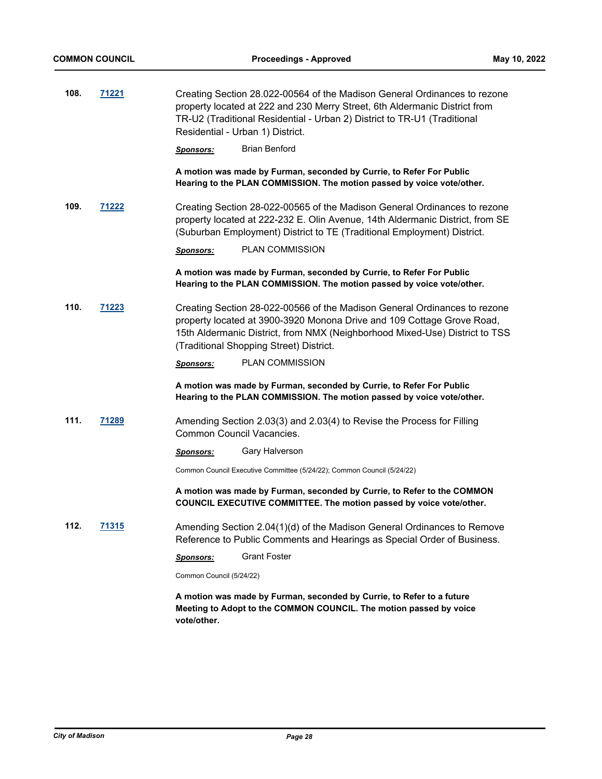| 108. | 71221        | Creating Section 28.022-00564 of the Madison General Ordinances to rezone<br>property located at 222 and 230 Merry Street, 6th Aldermanic District from<br>TR-U2 (Traditional Residential - Urban 2) District to TR-U1 (Traditional<br>Residential - Urban 1) District.       |
|------|--------------|-------------------------------------------------------------------------------------------------------------------------------------------------------------------------------------------------------------------------------------------------------------------------------|
|      |              | <b>Brian Benford</b><br>Sponsors:                                                                                                                                                                                                                                             |
|      |              | A motion was made by Furman, seconded by Currie, to Refer For Public<br>Hearing to the PLAN COMMISSION. The motion passed by voice vote/other.                                                                                                                                |
| 109. | 71222        | Creating Section 28-022-00565 of the Madison General Ordinances to rezone<br>property located at 222-232 E. Olin Avenue, 14th Aldermanic District, from SE<br>(Suburban Employment) District to TE (Traditional Employment) District.                                         |
|      |              | <b>PLAN COMMISSION</b><br>Sponsors:                                                                                                                                                                                                                                           |
|      |              | A motion was made by Furman, seconded by Currie, to Refer For Public<br>Hearing to the PLAN COMMISSION. The motion passed by voice vote/other.                                                                                                                                |
| 110. | 71223        | Creating Section 28-022-00566 of the Madison General Ordinances to rezone<br>property located at 3900-3920 Monona Drive and 109 Cottage Grove Road,<br>15th Aldermanic District, from NMX (Neighborhood Mixed-Use) District to TSS<br>(Traditional Shopping Street) District. |
|      |              | <b>PLAN COMMISSION</b><br>Sponsors:                                                                                                                                                                                                                                           |
|      |              | A motion was made by Furman, seconded by Currie, to Refer For Public<br>Hearing to the PLAN COMMISSION. The motion passed by voice vote/other.                                                                                                                                |
| 111. | 71289        | Amending Section 2.03(3) and 2.03(4) to Revise the Process for Filling<br>Common Council Vacancies.                                                                                                                                                                           |
|      |              | Gary Halverson<br>Sponsors:                                                                                                                                                                                                                                                   |
|      |              | Common Council Executive Committee (5/24/22); Common Council (5/24/22)                                                                                                                                                                                                        |
|      |              | A motion was made by Furman, seconded by Currie, to Refer to the COMMON<br>COUNCIL EXECUTIVE COMMITTEE. The motion passed by voice vote/other.                                                                                                                                |
| 112. | <u>71315</u> | Amending Section 2.04(1)(d) of the Madison General Ordinances to Remove<br>Reference to Public Comments and Hearings as Special Order of Business.                                                                                                                            |
|      |              | <b>Grant Foster</b><br>Sponsors:                                                                                                                                                                                                                                              |
|      |              | Common Council (5/24/22)                                                                                                                                                                                                                                                      |
|      |              | A motion was made by Furman, seconded by Currie, to Refer to a future<br>Meeting to Adopt to the COMMON COUNCIL. The motion passed by voice<br>vote/other.                                                                                                                    |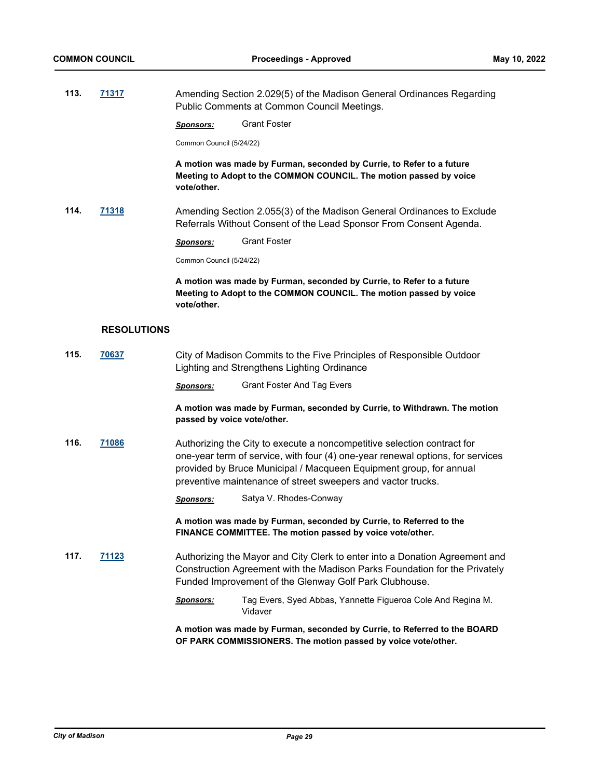**113. [71317](http://madison.legistar.com/gateway.aspx?m=l&id=/matter.aspx?key=83256)** Amending Section 2.029(5) of the Madison General Ordinances Regarding Public Comments at Common Council Meetings.

*Sponsors:* Grant Foster

Common Council (5/24/22)

**A motion was made by Furman, seconded by Currie, to Refer to a future Meeting to Adopt to the COMMON COUNCIL. The motion passed by voice vote/other.**

**114. [71318](http://madison.legistar.com/gateway.aspx?m=l&id=/matter.aspx?key=83257)** Amending Section 2.055(3) of the Madison General Ordinances to Exclude Referrals Without Consent of the Lead Sponsor From Consent Agenda.

*Sponsors:* Grant Foster

Common Council (5/24/22)

**A motion was made by Furman, seconded by Currie, to Refer to a future Meeting to Adopt to the COMMON COUNCIL. The motion passed by voice vote/other.**

#### **RESOLUTIONS**

**115. [70637](http://madison.legistar.com/gateway.aspx?m=l&id=/matter.aspx?key=82668)** City of Madison Commits to the Five Principles of Responsible Outdoor Lighting and Strengthens Lighting Ordinance *Sponsors:* Grant Foster And Tag Evers **A motion was made by Furman, seconded by Currie, to Withdrawn. The motion passed by voice vote/other. 116. [71086](http://madison.legistar.com/gateway.aspx?m=l&id=/matter.aspx?key=83043)** Authorizing the City to execute a noncompetitive selection contract for one-year term of service, with four (4) one-year renewal options, for services

provided by Bruce Municipal / Macqueen Equipment group, for annual preventive maintenance of street sweepers and vactor trucks.

*Sponsors:* Satya V. Rhodes-Conway

**A motion was made by Furman, seconded by Currie, to Referred to the FINANCE COMMITTEE. The motion passed by voice vote/other.**

**117. [71123](http://madison.legistar.com/gateway.aspx?m=l&id=/matter.aspx?key=83074)** Authorizing the Mayor and City Clerk to enter into a Donation Agreement and Construction Agreement with the Madison Parks Foundation for the Privately Funded Improvement of the Glenway Golf Park Clubhouse.

> *Sponsors:* Tag Evers, Syed Abbas, Yannette Figueroa Cole And Regina M. Vidaver

**A motion was made by Furman, seconded by Currie, to Referred to the BOARD OF PARK COMMISSIONERS. The motion passed by voice vote/other.**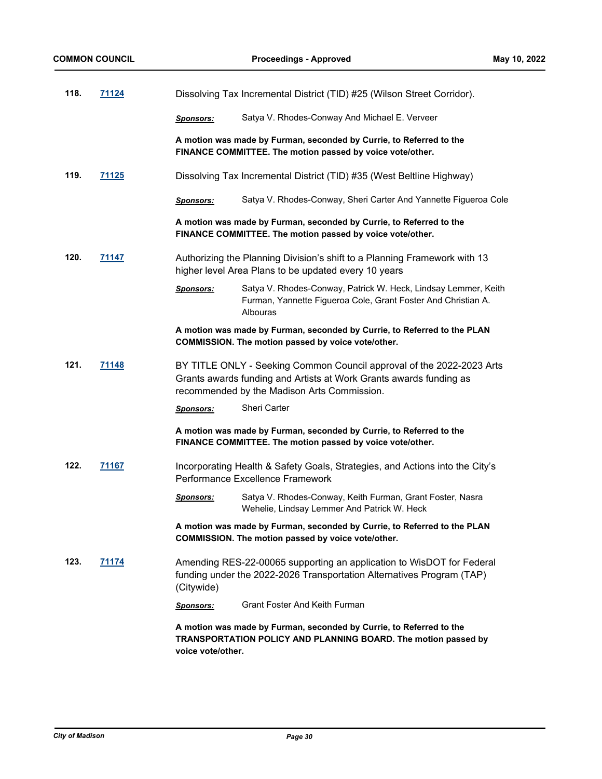| 118. | 71124        | Dissolving Tax Incremental District (TID) #25 (Wilson Street Corridor). |                                                                                                                                                                                            |  |  |
|------|--------------|-------------------------------------------------------------------------|--------------------------------------------------------------------------------------------------------------------------------------------------------------------------------------------|--|--|
|      |              | <b>Sponsors:</b>                                                        | Satya V. Rhodes-Conway And Michael E. Verveer                                                                                                                                              |  |  |
|      |              |                                                                         | A motion was made by Furman, seconded by Currie, to Referred to the<br>FINANCE COMMITTEE. The motion passed by voice vote/other.                                                           |  |  |
| 119. | <u>71125</u> |                                                                         | Dissolving Tax Incremental District (TID) #35 (West Beltline Highway)                                                                                                                      |  |  |
|      |              | <b>Sponsors:</b>                                                        | Satya V. Rhodes-Conway, Sheri Carter And Yannette Figueroa Cole                                                                                                                            |  |  |
|      |              |                                                                         | A motion was made by Furman, seconded by Currie, to Referred to the<br>FINANCE COMMITTEE. The motion passed by voice vote/other.                                                           |  |  |
| 120. | 71147        |                                                                         | Authorizing the Planning Division's shift to a Planning Framework with 13<br>higher level Area Plans to be updated every 10 years                                                          |  |  |
|      |              | <b>Sponsors:</b>                                                        | Satya V. Rhodes-Conway, Patrick W. Heck, Lindsay Lemmer, Keith<br>Furman, Yannette Figueroa Cole, Grant Foster And Christian A.<br>Albouras                                                |  |  |
|      |              |                                                                         | A motion was made by Furman, seconded by Currie, to Referred to the PLAN<br>COMMISSION. The motion passed by voice vote/other.                                                             |  |  |
| 121. | 71148        |                                                                         | BY TITLE ONLY - Seeking Common Council approval of the 2022-2023 Arts<br>Grants awards funding and Artists at Work Grants awards funding as<br>recommended by the Madison Arts Commission. |  |  |
|      |              | <b>Sponsors:</b>                                                        | <b>Sheri Carter</b>                                                                                                                                                                        |  |  |
|      |              |                                                                         | A motion was made by Furman, seconded by Currie, to Referred to the<br>FINANCE COMMITTEE. The motion passed by voice vote/other.                                                           |  |  |
| 122. | 71167        |                                                                         | Incorporating Health & Safety Goals, Strategies, and Actions into the City's<br>Performance Excellence Framework                                                                           |  |  |
|      |              | <b>Sponsors:</b>                                                        | Satya V. Rhodes-Conway, Keith Furman, Grant Foster, Nasra<br>Wehelie, Lindsay Lemmer And Patrick W. Heck                                                                                   |  |  |
|      |              |                                                                         | A motion was made by Furman, seconded by Currie, to Referred to the PLAN<br>COMMISSION. The motion passed by voice vote/other.                                                             |  |  |
| 123. | <u>71174</u> | (Citywide)                                                              | Amending RES-22-00065 supporting an application to WisDOT for Federal<br>funding under the 2022-2026 Transportation Alternatives Program (TAP)                                             |  |  |
|      |              | <b>Sponsors:</b>                                                        | <b>Grant Foster And Keith Furman</b>                                                                                                                                                       |  |  |
|      |              | voice vote/other.                                                       | A motion was made by Furman, seconded by Currie, to Referred to the<br>TRANSPORTATION POLICY AND PLANNING BOARD. The motion passed by                                                      |  |  |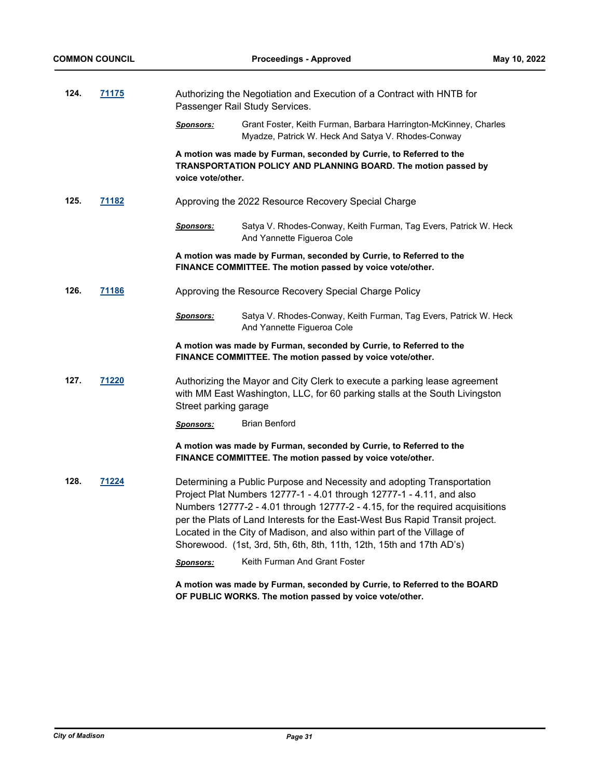| 124. | 71175        |                       | Authorizing the Negotiation and Execution of a Contract with HNTB for<br>Passenger Rail Study Services.                                                                                                                                                                                                                                                                                                                                                          |
|------|--------------|-----------------------|------------------------------------------------------------------------------------------------------------------------------------------------------------------------------------------------------------------------------------------------------------------------------------------------------------------------------------------------------------------------------------------------------------------------------------------------------------------|
|      |              | <u>Sponsors:</u>      | Grant Foster, Keith Furman, Barbara Harrington-McKinney, Charles<br>Myadze, Patrick W. Heck And Satya V. Rhodes-Conway                                                                                                                                                                                                                                                                                                                                           |
|      |              | voice vote/other.     | A motion was made by Furman, seconded by Currie, to Referred to the<br>TRANSPORTATION POLICY AND PLANNING BOARD. The motion passed by                                                                                                                                                                                                                                                                                                                            |
| 125. | <u>71182</u> |                       | Approving the 2022 Resource Recovery Special Charge                                                                                                                                                                                                                                                                                                                                                                                                              |
|      |              | <b>Sponsors:</b>      | Satya V. Rhodes-Conway, Keith Furman, Tag Evers, Patrick W. Heck<br>And Yannette Figueroa Cole                                                                                                                                                                                                                                                                                                                                                                   |
|      |              |                       | A motion was made by Furman, seconded by Currie, to Referred to the<br>FINANCE COMMITTEE. The motion passed by voice vote/other.                                                                                                                                                                                                                                                                                                                                 |
| 126. | <u>71186</u> |                       | Approving the Resource Recovery Special Charge Policy                                                                                                                                                                                                                                                                                                                                                                                                            |
|      |              | <u>Sponsors:</u>      | Satya V. Rhodes-Conway, Keith Furman, Tag Evers, Patrick W. Heck<br>And Yannette Figueroa Cole                                                                                                                                                                                                                                                                                                                                                                   |
|      |              |                       | A motion was made by Furman, seconded by Currie, to Referred to the<br>FINANCE COMMITTEE. The motion passed by voice vote/other.                                                                                                                                                                                                                                                                                                                                 |
| 127. | 71220        | Street parking garage | Authorizing the Mayor and City Clerk to execute a parking lease agreement<br>with MM East Washington, LLC, for 60 parking stalls at the South Livingston                                                                                                                                                                                                                                                                                                         |
|      |              | <b>Sponsors:</b>      | <b>Brian Benford</b>                                                                                                                                                                                                                                                                                                                                                                                                                                             |
|      |              |                       | A motion was made by Furman, seconded by Currie, to Referred to the<br>FINANCE COMMITTEE. The motion passed by voice vote/other.                                                                                                                                                                                                                                                                                                                                 |
| 128. | <u>71224</u> |                       | Determining a Public Purpose and Necessity and adopting Transportation<br>Project Plat Numbers 12777-1 - 4.01 through 12777-1 - 4.11, and also<br>Numbers 12777-2 - 4.01 through 12777-2 - 4.15, for the required acquisitions<br>per the Plats of Land Interests for the East-West Bus Rapid Transit project.<br>Located in the City of Madison, and also within part of the Village of<br>Shorewood. (1st, 3rd, 5th, 6th, 8th, 11th, 12th, 15th and 17th AD's) |
|      |              | <u>Sponsors:</u>      | Keith Furman And Grant Foster                                                                                                                                                                                                                                                                                                                                                                                                                                    |
|      |              |                       | A motion was made by Furman, seconded by Currie, to Referred to the BOARD<br>OF PUBLIC WORKS. The motion passed by voice vote/other.                                                                                                                                                                                                                                                                                                                             |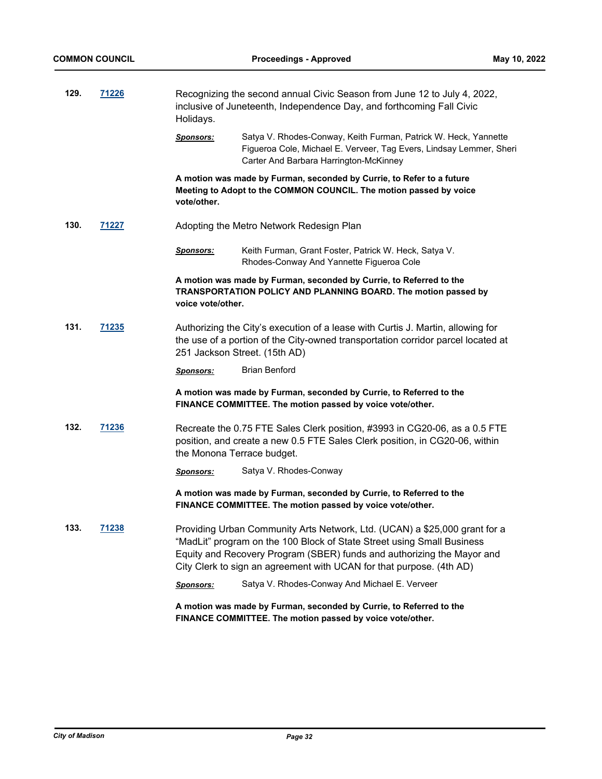| 129. | 71226        | Recognizing the second annual Civic Season from June 12 to July 4, 2022,<br>inclusive of Juneteenth, Independence Day, and forthcoming Fall Civic<br>Holidays. |                                                                                                                                                                                                                                                                                                        |  |
|------|--------------|----------------------------------------------------------------------------------------------------------------------------------------------------------------|--------------------------------------------------------------------------------------------------------------------------------------------------------------------------------------------------------------------------------------------------------------------------------------------------------|--|
|      |              | <u>Sponsors:</u>                                                                                                                                               | Satya V. Rhodes-Conway, Keith Furman, Patrick W. Heck, Yannette<br>Figueroa Cole, Michael E. Verveer, Tag Evers, Lindsay Lemmer, Sheri<br>Carter And Barbara Harrington-McKinney                                                                                                                       |  |
|      |              | vote/other.                                                                                                                                                    | A motion was made by Furman, seconded by Currie, to Refer to a future<br>Meeting to Adopt to the COMMON COUNCIL. The motion passed by voice                                                                                                                                                            |  |
| 130. | 71227        |                                                                                                                                                                | Adopting the Metro Network Redesign Plan                                                                                                                                                                                                                                                               |  |
|      |              | <u>Sponsors:</u>                                                                                                                                               | Keith Furman, Grant Foster, Patrick W. Heck, Satya V.<br>Rhodes-Conway And Yannette Figueroa Cole                                                                                                                                                                                                      |  |
|      |              | voice vote/other.                                                                                                                                              | A motion was made by Furman, seconded by Currie, to Referred to the<br>TRANSPORTATION POLICY AND PLANNING BOARD. The motion passed by                                                                                                                                                                  |  |
| 131. | <u>71235</u> |                                                                                                                                                                | Authorizing the City's execution of a lease with Curtis J. Martin, allowing for<br>the use of a portion of the City-owned transportation corridor parcel located at<br>251 Jackson Street. (15th AD)                                                                                                   |  |
|      |              | <u>Sponsors:</u>                                                                                                                                               | <b>Brian Benford</b>                                                                                                                                                                                                                                                                                   |  |
|      |              |                                                                                                                                                                | A motion was made by Furman, seconded by Currie, to Referred to the<br>FINANCE COMMITTEE. The motion passed by voice vote/other.                                                                                                                                                                       |  |
| 132. | <u>71236</u> | the Monona Terrace budget.                                                                                                                                     | Recreate the 0.75 FTE Sales Clerk position, #3993 in CG20-06, as a 0.5 FTE<br>position, and create a new 0.5 FTE Sales Clerk position, in CG20-06, within                                                                                                                                              |  |
|      |              | <b>Sponsors:</b>                                                                                                                                               | Satya V. Rhodes-Conway                                                                                                                                                                                                                                                                                 |  |
|      |              |                                                                                                                                                                | A motion was made by Furman, seconded by Currie, to Referred to the<br>FINANCE COMMITTEE. The motion passed by voice vote/other.                                                                                                                                                                       |  |
| 133. | 71238        |                                                                                                                                                                | Providing Urban Community Arts Network, Ltd. (UCAN) a \$25,000 grant for a<br>"MadLit" program on the 100 Block of State Street using Small Business<br>Equity and Recovery Program (SBER) funds and authorizing the Mayor and<br>City Clerk to sign an agreement with UCAN for that purpose. (4th AD) |  |
|      |              | <b>Sponsors:</b>                                                                                                                                               | Satya V. Rhodes-Conway And Michael E. Verveer                                                                                                                                                                                                                                                          |  |
|      |              |                                                                                                                                                                | A motion was made by Furman, seconded by Currie, to Referred to the<br>FINANCE COMMITTEE. The motion passed by voice vote/other.                                                                                                                                                                       |  |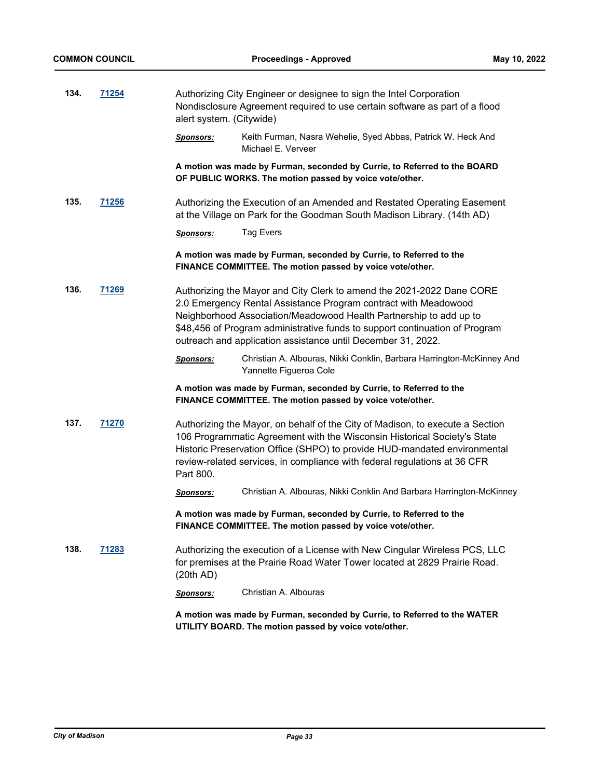| 134.<br>71254 |       | Authorizing City Engineer or designee to sign the Intel Corporation<br>Nondisclosure Agreement required to use certain software as part of a flood<br>alert system. (Citywide) |                                                                                                                                                                                                                                                                                                                                                               |  |
|---------------|-------|--------------------------------------------------------------------------------------------------------------------------------------------------------------------------------|---------------------------------------------------------------------------------------------------------------------------------------------------------------------------------------------------------------------------------------------------------------------------------------------------------------------------------------------------------------|--|
|               |       | <u>Sponsors:</u>                                                                                                                                                               | Keith Furman, Nasra Wehelie, Syed Abbas, Patrick W. Heck And<br>Michael E. Verveer                                                                                                                                                                                                                                                                            |  |
|               |       |                                                                                                                                                                                | A motion was made by Furman, seconded by Currie, to Referred to the BOARD<br>OF PUBLIC WORKS. The motion passed by voice vote/other.                                                                                                                                                                                                                          |  |
| 135.          | 71256 |                                                                                                                                                                                | Authorizing the Execution of an Amended and Restated Operating Easement<br>at the Village on Park for the Goodman South Madison Library. (14th AD)                                                                                                                                                                                                            |  |
|               |       | <b>Sponsors:</b>                                                                                                                                                               | <b>Tag Evers</b>                                                                                                                                                                                                                                                                                                                                              |  |
|               |       |                                                                                                                                                                                | A motion was made by Furman, seconded by Currie, to Referred to the<br>FINANCE COMMITTEE. The motion passed by voice vote/other.                                                                                                                                                                                                                              |  |
| 136.          | 71269 |                                                                                                                                                                                | Authorizing the Mayor and City Clerk to amend the 2021-2022 Dane CORE<br>2.0 Emergency Rental Assistance Program contract with Meadowood<br>Neighborhood Association/Meadowood Health Partnership to add up to<br>\$48,456 of Program administrative funds to support continuation of Program<br>outreach and application assistance until December 31, 2022. |  |
|               |       | <b>Sponsors:</b>                                                                                                                                                               | Christian A. Albouras, Nikki Conklin, Barbara Harrington-McKinney And<br>Yannette Figueroa Cole                                                                                                                                                                                                                                                               |  |
|               |       |                                                                                                                                                                                | A motion was made by Furman, seconded by Currie, to Referred to the<br>FINANCE COMMITTEE. The motion passed by voice vote/other.                                                                                                                                                                                                                              |  |
| 137.          | 71270 | Part 800.                                                                                                                                                                      | Authorizing the Mayor, on behalf of the City of Madison, to execute a Section<br>106 Programmatic Agreement with the Wisconsin Historical Society's State<br>Historic Preservation Office (SHPO) to provide HUD-mandated environmental<br>review-related services, in compliance with federal regulations at 36 CFR                                           |  |
|               |       | <u>Sponsors:</u>                                                                                                                                                               | Christian A. Albouras, Nikki Conklin And Barbara Harrington-McKinney                                                                                                                                                                                                                                                                                          |  |
|               |       | A motion was made by Furman, seconded by Currie, to Referred to the<br>FINANCE COMMITTEE. The motion passed by voice vote/other.                                               |                                                                                                                                                                                                                                                                                                                                                               |  |
| 138.          | 71283 | (20th AD)                                                                                                                                                                      | Authorizing the execution of a License with New Cingular Wireless PCS, LLC<br>for premises at the Prairie Road Water Tower located at 2829 Prairie Road.                                                                                                                                                                                                      |  |
|               |       | <b>Sponsors:</b>                                                                                                                                                               | Christian A. Albouras                                                                                                                                                                                                                                                                                                                                         |  |
|               |       |                                                                                                                                                                                | A motion was made by Furman, seconded by Currie, to Referred to the WATER<br>UTILITY BOARD. The motion passed by voice vote/other.                                                                                                                                                                                                                            |  |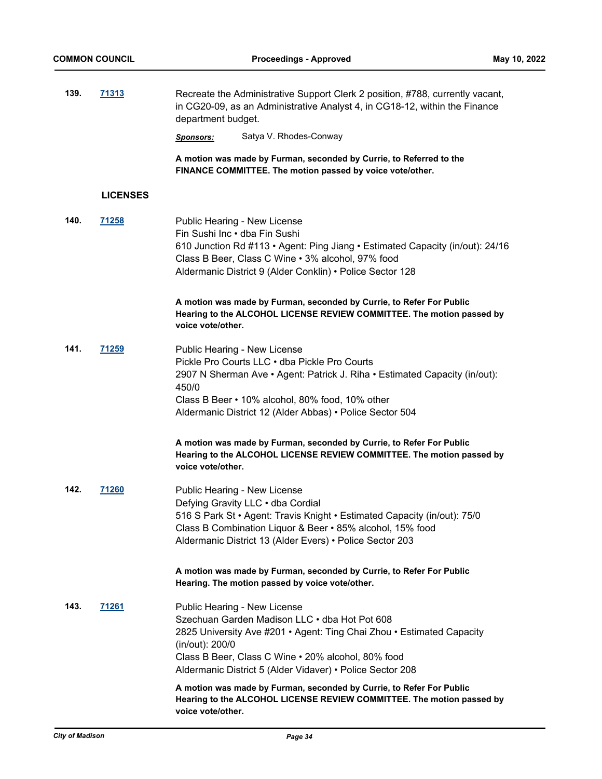| 139. | <u>71313</u>    | Recreate the Administrative Support Clerk 2 position, #788, currently vacant,<br>in CG20-09, as an Administrative Analyst 4, in CG18-12, within the Finance<br>department budget.                                                                                                            |
|------|-----------------|----------------------------------------------------------------------------------------------------------------------------------------------------------------------------------------------------------------------------------------------------------------------------------------------|
|      |                 | Satya V. Rhodes-Conway<br><u>Sponsors:</u>                                                                                                                                                                                                                                                   |
|      |                 | A motion was made by Furman, seconded by Currie, to Referred to the<br>FINANCE COMMITTEE. The motion passed by voice vote/other.                                                                                                                                                             |
|      | <b>LICENSES</b> |                                                                                                                                                                                                                                                                                              |
| 140. | <u>71258</u>    | Public Hearing - New License<br>Fin Sushi Inc • dba Fin Sushi<br>610 Junction Rd #113 · Agent: Ping Jiang · Estimated Capacity (in/out): 24/16<br>Class B Beer, Class C Wine . 3% alcohol, 97% food<br>Aldermanic District 9 (Alder Conklin) • Police Sector 128                             |
|      |                 | A motion was made by Furman, seconded by Currie, to Refer For Public<br>Hearing to the ALCOHOL LICENSE REVIEW COMMITTEE. The motion passed by<br>voice vote/other.                                                                                                                           |
| 141. | 71259           | Public Hearing - New License<br>Pickle Pro Courts LLC . dba Pickle Pro Courts<br>2907 N Sherman Ave • Agent: Patrick J. Riha • Estimated Capacity (in/out):<br>450/0<br>Class B Beer • 10% alcohol, 80% food, 10% other<br>Aldermanic District 12 (Alder Abbas) • Police Sector 504          |
|      |                 | A motion was made by Furman, seconded by Currie, to Refer For Public<br>Hearing to the ALCOHOL LICENSE REVIEW COMMITTEE. The motion passed by<br>voice vote/other.                                                                                                                           |
| 142. | 71260           | Public Hearing - New License<br>Defying Gravity LLC . dba Cordial<br>516 S Park St • Agent: Travis Knight • Estimated Capacity (in/out): 75/0<br>Class B Combination Liquor & Beer • 85% alcohol, 15% food<br>Aldermanic District 13 (Alder Evers) • Police Sector 203                       |
|      |                 | A motion was made by Furman, seconded by Currie, to Refer For Public<br>Hearing. The motion passed by voice vote/other.                                                                                                                                                                      |
| 143. | <u>71261</u>    | Public Hearing - New License<br>Szechuan Garden Madison LLC . dba Hot Pot 608<br>2825 University Ave #201 • Agent: Ting Chai Zhou • Estimated Capacity<br>(in/out): 200/0<br>Class B Beer, Class C Wine • 20% alcohol, 80% food<br>Aldermanic District 5 (Alder Vidaver) • Police Sector 208 |
|      |                 | A motion was made by Furman, seconded by Currie, to Refer For Public<br>Hearing to the ALCOHOL LICENSE REVIEW COMMITTEE. The motion passed by<br>voice vote/other.                                                                                                                           |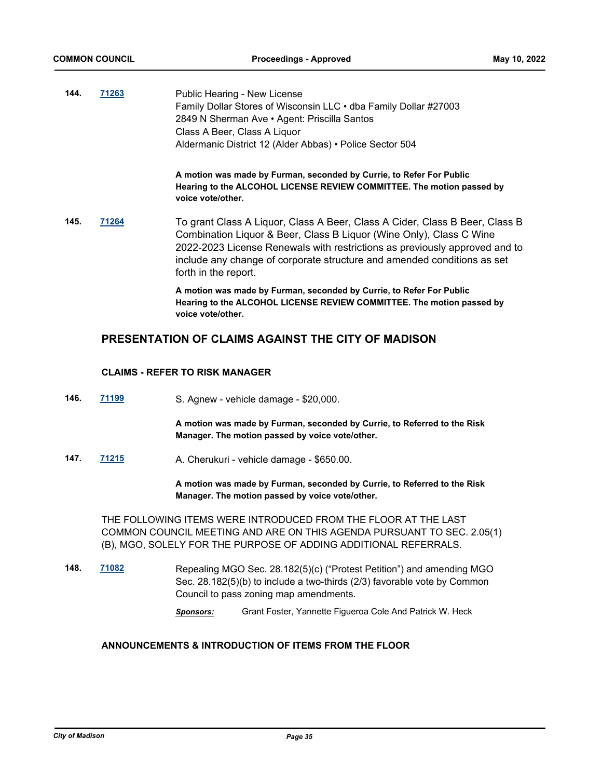| 144. | 71263 | Public Hearing - New License<br>Family Dollar Stores of Wisconsin LLC • dba Family Dollar #27003<br>2849 N Sherman Ave • Agent: Priscilla Santos<br>Class A Beer, Class A Liquor<br>Aldermanic District 12 (Alder Abbas) • Police Sector 504                                                                                        |  |  |
|------|-------|-------------------------------------------------------------------------------------------------------------------------------------------------------------------------------------------------------------------------------------------------------------------------------------------------------------------------------------|--|--|
|      |       | A motion was made by Furman, seconded by Currie, to Refer For Public<br>Hearing to the ALCOHOL LICENSE REVIEW COMMITTEE. The motion passed by<br>voice vote/other.                                                                                                                                                                  |  |  |
| 145. | 71264 | To grant Class A Liquor, Class A Beer, Class A Cider, Class B Beer, Class B<br>Combination Liquor & Beer, Class B Liquor (Wine Only), Class C Wine<br>2022-2023 License Renewals with restrictions as previously approved and to<br>include any change of corporate structure and amended conditions as set<br>forth in the report. |  |  |
|      |       | A motion was made by Furman, seconded by Currie, to Refer For Public<br>Hearing to the ALCOHOL LICENSE REVIEW COMMITTEE. The motion passed by<br>voice vote/other.                                                                                                                                                                  |  |  |

# **PRESENTATION OF CLAIMS AGAINST THE CITY OF MADISON**

### **CLAIMS - REFER TO RISK MANAGER**

**146. [71199](http://madison.legistar.com/gateway.aspx?m=l&id=/matter.aspx?key=83145)** S. Agnew - vehicle damage - \$20,000.

**A motion was made by Furman, seconded by Currie, to Referred to the Risk Manager. The motion passed by voice vote/other.**

**147. [71215](http://madison.legistar.com/gateway.aspx?m=l&id=/matter.aspx?key=83156)** A. Cherukuri - vehicle damage - \$650.00.

**A motion was made by Furman, seconded by Currie, to Referred to the Risk Manager. The motion passed by voice vote/other.**

THE FOLLOWING ITEMS WERE INTRODUCED FROM THE FLOOR AT THE LAST COMMON COUNCIL MEETING AND ARE ON THIS AGENDA PURSUANT TO SEC. 2.05(1) (B), MGO, SOLELY FOR THE PURPOSE OF ADDING ADDITIONAL REFERRALS.

**148. [71082](http://madison.legistar.com/gateway.aspx?m=l&id=/matter.aspx?key=83039)** Repealing MGO Sec. 28.182(5)(c) ("Protest Petition") and amending MGO Sec. 28.182(5)(b) to include a two-thirds (2/3) favorable vote by Common Council to pass zoning map amendments.

*Sponsors:* Grant Foster, Yannette Figueroa Cole And Patrick W. Heck

### **ANNOUNCEMENTS & INTRODUCTION OF ITEMS FROM THE FLOOR**